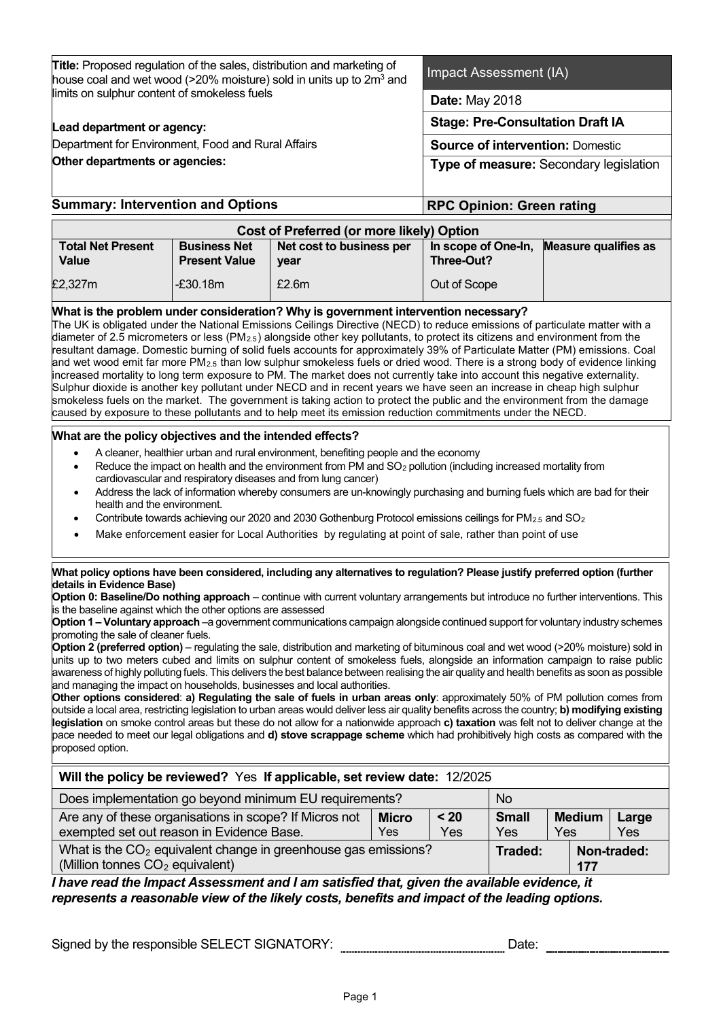| <b>Title:</b> Proposed regulation of the sales, distribution and marketing of<br>house coal and wet wood (>20% moisture) sold in units up to 2 $m3$ and                                                                                                                                                                                                                                                                                                                                                                                                                                                                                                                                                                                                                                                                                                                                                                                                                                                                                                                                                                                                                                                                                                                                                                                                                                                                                                                                                                                                                                                                              |                                   | Impact Assessment (IA) |                                         |              |  |  |  |
|--------------------------------------------------------------------------------------------------------------------------------------------------------------------------------------------------------------------------------------------------------------------------------------------------------------------------------------------------------------------------------------------------------------------------------------------------------------------------------------------------------------------------------------------------------------------------------------------------------------------------------------------------------------------------------------------------------------------------------------------------------------------------------------------------------------------------------------------------------------------------------------------------------------------------------------------------------------------------------------------------------------------------------------------------------------------------------------------------------------------------------------------------------------------------------------------------------------------------------------------------------------------------------------------------------------------------------------------------------------------------------------------------------------------------------------------------------------------------------------------------------------------------------------------------------------------------------------------------------------------------------------|-----------------------------------|------------------------|-----------------------------------------|--------------|--|--|--|
| limits on sulphur content of smokeless fuels                                                                                                                                                                                                                                                                                                                                                                                                                                                                                                                                                                                                                                                                                                                                                                                                                                                                                                                                                                                                                                                                                                                                                                                                                                                                                                                                                                                                                                                                                                                                                                                         |                                   | <b>Date: May 2018</b>  |                                         |              |  |  |  |
| Lead department or agency:                                                                                                                                                                                                                                                                                                                                                                                                                                                                                                                                                                                                                                                                                                                                                                                                                                                                                                                                                                                                                                                                                                                                                                                                                                                                                                                                                                                                                                                                                                                                                                                                           |                                   |                        | <b>Stage: Pre-Consultation Draft IA</b> |              |  |  |  |
| Department for Environment, Food and Rural Affairs                                                                                                                                                                                                                                                                                                                                                                                                                                                                                                                                                                                                                                                                                                                                                                                                                                                                                                                                                                                                                                                                                                                                                                                                                                                                                                                                                                                                                                                                                                                                                                                   |                                   |                        | <b>Source of intervention: Domestic</b> |              |  |  |  |
| Other departments or agencies:                                                                                                                                                                                                                                                                                                                                                                                                                                                                                                                                                                                                                                                                                                                                                                                                                                                                                                                                                                                                                                                                                                                                                                                                                                                                                                                                                                                                                                                                                                                                                                                                       |                                   |                        | Type of measure: Secondary legislation  |              |  |  |  |
| <b>Summary: Intervention and Options</b>                                                                                                                                                                                                                                                                                                                                                                                                                                                                                                                                                                                                                                                                                                                                                                                                                                                                                                                                                                                                                                                                                                                                                                                                                                                                                                                                                                                                                                                                                                                                                                                             | <b>RPC Opinion: Green rating</b>  |                        |                                         |              |  |  |  |
| Cost of Preferred (or more likely) Option                                                                                                                                                                                                                                                                                                                                                                                                                                                                                                                                                                                                                                                                                                                                                                                                                                                                                                                                                                                                                                                                                                                                                                                                                                                                                                                                                                                                                                                                                                                                                                                            |                                   |                        |                                         |              |  |  |  |
| <b>Business Net</b><br><b>Total Net Present</b><br>Net cost to business per<br>Value<br><b>Present Value</b><br>year                                                                                                                                                                                                                                                                                                                                                                                                                                                                                                                                                                                                                                                                                                                                                                                                                                                                                                                                                                                                                                                                                                                                                                                                                                                                                                                                                                                                                                                                                                                 | In scope of One-In,<br>Three-Out? |                        | <b>Measure qualifies as</b>             |              |  |  |  |
| $-£30.18m$<br>£2.6m<br>£2,327m                                                                                                                                                                                                                                                                                                                                                                                                                                                                                                                                                                                                                                                                                                                                                                                                                                                                                                                                                                                                                                                                                                                                                                                                                                                                                                                                                                                                                                                                                                                                                                                                       | Out of Scope                      |                        |                                         |              |  |  |  |
| What is the problem under consideration? Why is government intervention necessary?<br>The UK is obligated under the National Emissions Ceilings Directive (NECD) to reduce emissions of particulate matter with a<br>diameter of 2.5 micrometers or less ( $PM_{2.5}$ ) alongside other key pollutants, to protect its citizens and environment from the<br>resultant damage. Domestic burning of solid fuels accounts for approximately 39% of Particulate Matter (PM) emissions. Coal<br>and wet wood emit far more PM <sub>2.5</sub> than low sulphur smokeless fuels or dried wood. There is a strong body of evidence linking<br>increased mortality to long term exposure to PM. The market does not currently take into account this negative externality.<br>Sulphur dioxide is another key pollutant under NECD and in recent years we have seen an increase in cheap high sulphur<br>smokeless fuels on the market. The government is taking action to protect the public and the environment from the damage<br>caused by exposure to these pollutants and to help meet its emission reduction commitments under the NECD.<br>What are the policy objectives and the intended effects?                                                                                                                                                                                                                                                                                                                                                                                                                                    |                                   |                        |                                         |              |  |  |  |
| A cleaner, healthier urban and rural environment, benefiting people and the economy<br>$\bullet$<br>Reduce the impact on health and the environment from PM and SO <sub>2</sub> pollution (including increased mortality from<br>$\bullet$<br>cardiovascular and respiratory diseases and from lung cancer)<br>Address the lack of information whereby consumers are un-knowingly purchasing and burning fuels which are bad for their<br>$\bullet$<br>health and the environment.<br>Contribute towards achieving our 2020 and 2030 Gothenburg Protocol emissions ceilings for PM <sub>2.5</sub> and SO <sub>2</sub><br>$\bullet$<br>Make enforcement easier for Local Authorities by regulating at point of sale, rather than point of use<br>$\bullet$                                                                                                                                                                                                                                                                                                                                                                                                                                                                                                                                                                                                                                                                                                                                                                                                                                                                            |                                   |                        |                                         |              |  |  |  |
| What policy options have been considered, including any alternatives to regulation? Please justify preferred option (further<br>details in Evidence Base)<br>Option 0: Baseline/Do nothing approach - continue with current voluntary arrangements but introduce no further interventions. This<br>is the baseline against which the other options are assessed<br>Option 1 - Voluntary approach -a government communications campaign alongside continued support for voluntary industry schemes<br>promoting the sale of cleaner fuels.<br>Option 2 (preferred option) – regulating the sale, distribution and marketing of bituminous coal and wet wood (>20% moisture) sold in<br>units up to two meters cubed and limits on sulphur content of smokeless fuels, alongside an information campaign to raise public<br>awareness of highly polluting fuels. This delivers the best balance between realising the air quality and health benefits as soon as possible<br>and managing the impact on households, businesses and local authorities.<br>Other options considered: a) Regulating the sale of fuels in urban areas only: approximately 50% of PM pollution comes from<br>outside a local area, restricting legislation to urban areas would deliver less air quality benefits across the country; b) modifying existing<br>legislation on smoke control areas but these do not allow for a nationwide approach c) taxation was felt not to deliver change at the<br>pace needed to meet our legal obligations and d) stove scrappage scheme which had prohibitively high costs as compared with the<br>proposed option. |                                   |                        |                                         |              |  |  |  |
| Will the policy be reviewed? Yes If applicable, set review date: 12/2025                                                                                                                                                                                                                                                                                                                                                                                                                                                                                                                                                                                                                                                                                                                                                                                                                                                                                                                                                                                                                                                                                                                                                                                                                                                                                                                                                                                                                                                                                                                                                             |                                   |                        |                                         |              |  |  |  |
| Does implementation go beyond minimum EU requirements?                                                                                                                                                                                                                                                                                                                                                                                                                                                                                                                                                                                                                                                                                                                                                                                                                                                                                                                                                                                                                                                                                                                                                                                                                                                                                                                                                                                                                                                                                                                                                                               |                                   | <b>No</b>              |                                         |              |  |  |  |
| Are any of these organisations in scope? If Micros not<br><b>Micro</b><br>exempted set out reason in Evidence Base.<br>Yes                                                                                                                                                                                                                                                                                                                                                                                                                                                                                                                                                                                                                                                                                                                                                                                                                                                                                                                                                                                                                                                                                                                                                                                                                                                                                                                                                                                                                                                                                                           | $20$<br>Yes                       | <b>Small</b><br>Yes    | <b>Medium</b><br>Yes                    | Large<br>Yes |  |  |  |
| What is the CO <sub>2</sub> equivalent change in greenhouse gas emissions?<br>Non-traded:<br>Traded:<br>(Million tonnes CO <sub>2</sub> equivalent)<br>177                                                                                                                                                                                                                                                                                                                                                                                                                                                                                                                                                                                                                                                                                                                                                                                                                                                                                                                                                                                                                                                                                                                                                                                                                                                                                                                                                                                                                                                                           |                                   |                        |                                         |              |  |  |  |
| I have read the Impact Assessment and I am satisfied that, given the available evidence, it<br>represents a reasonable view of the likely costs, benefits and impact of the leading options.<br>Signed by the responsible SELECT SIGNATORY:                                                                                                                                                                                                                                                                                                                                                                                                                                                                                                                                                                                                                                                                                                                                                                                                                                                                                                                                                                                                                                                                                                                                                                                                                                                                                                                                                                                          |                                   | Date:                  |                                         |              |  |  |  |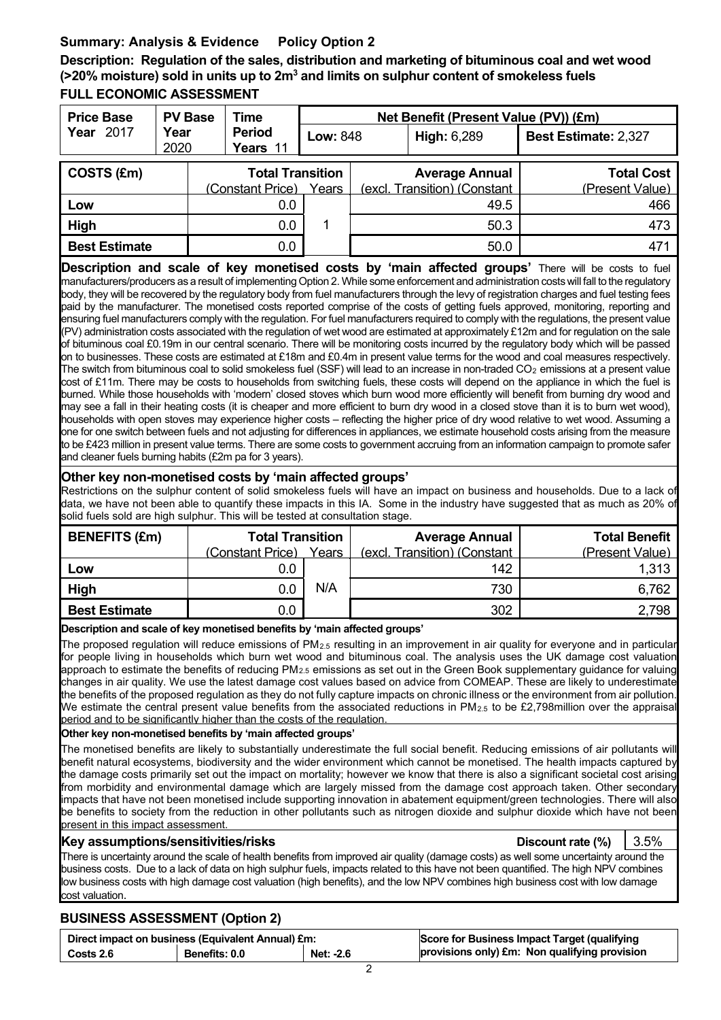# **Summary: Analysis & Evidence Policy Option 2**

**Description: Regulation of the sales, distribution and marketing of bituminous coal and wet wood (>20% moisture) sold in units up to 2m3 and limits on sulphur content of smokeless fuels FULL ECONOMIC ASSESSMENT**

| <b>Price Base</b>    | <b>PV Base</b> | Time                      |                 | Net Benefit (Present Value (PV)) (£m) |                              |                             |
|----------------------|----------------|---------------------------|-----------------|---------------------------------------|------------------------------|-----------------------------|
| <b>Year 2017</b>     | Year<br>2020   | <b>Period</b><br>Years 11 | <b>Low: 848</b> |                                       | <b>High: 6,289</b>           | <b>Best Estimate: 2,327</b> |
| COSTS (£m)           |                | <b>Total Transition</b>   |                 |                                       | <b>Average Annual</b>        | <b>Total Cost</b>           |
|                      |                | (Constant Price)          | Years           |                                       | (excl. Transition) (Constant | (Present Value)             |
| Low                  |                | 0.0                       |                 |                                       | 49.5                         | 466                         |
| High                 |                | 0.0                       | 1               |                                       | 50.3                         | 473                         |
| <b>Best Estimate</b> |                | 0.0                       |                 |                                       | 50.0                         | 471                         |

**Description and scale of key monetised costs by 'main affected groups'** There will be costs to fuel manufacturers/producers as a result of implementing Option 2. While some enforcement and administration costs will fall to the regulatory body, they will be recovered by the regulatory body from fuel manufacturers through the levy of registration charges and fuel testing fees paid by the manufacturer. The monetised costs reported comprise of the costs of getting fuels approved, monitoring, reporting and ensuring fuel manufacturers comply with the regulation. For fuel manufacturers required to comply with the regulations, the present value (PV) administration costs associated with the regulation of wet wood are estimated at approximately £12m and for regulation on the sale of bituminous coal £0.19m in our central scenario. There will be monitoring costs incurred by the regulatory body which will be passed on to businesses. These costs are estimated at £18m and £0.4m in present value terms for the wood and coal measures respectively. The switch from bituminous coal to solid smokeless fuel (SSF) will lead to an increase in non-traded CO<sub>2</sub> emissions at a present value cost of £11m. There may be costs to households from switching fuels, these costs will depend on the appliance in which the fuel is burned. While those households with 'modern' closed stoves which burn wood more efficiently will benefit from burning dry wood and may see a fall in their heating costs (it is cheaper and more efficient to burn dry wood in a closed stove than it is to burn wet wood), households with open stoves may experience higher costs – reflecting the higher price of dry wood relative to wet wood. Assuming a one for one switch between fuels and not adjusting for differences in appliances, we estimate household costs arising from the measure to be £423 million in present value terms. There are some costs to government accruing from an information campaign to promote safer and cleaner fuels burning habits (£2m pa for 3 years).

#### **Other key non-monetised costs by 'main affected groups'**

Restrictions on the sulphur content of solid smokeless fuels will have an impact on business and households. Due to a lack of data, we have not been able to quantify these impacts in this IA. Some in the industry have suggested that as much as 20% of solid fuels sold are high sulphur. This will be tested at consultation stage.

| <b>BENEFITS (£m)</b> | <b>Total Transition</b> |       | <b>Average Annual</b>        | <b>Total Benefit</b> |
|----------------------|-------------------------|-------|------------------------------|----------------------|
|                      | (Constant Price)        | Years | (excl. Transition) (Constant | (Present Value)      |
| Low                  | 0.0                     |       | 142                          | 1,313                |
| High                 | J.O                     | N/A   | 730                          | 6,762                |
| <b>Best Estimate</b> | 0.0                     |       | 302                          | 2,798                |
|                      |                         |       |                              |                      |

#### **Description and scale of key monetised benefits by 'main affected groups'**

The proposed regulation will reduce emissions of  $PM_{2.5}$  resulting in an improvement in air quality for everyone and in particular for people living in households which burn wet wood and bituminous coal. The analysis uses the UK damage cost valuation approach to estimate the benefits of reducing PM<sub>2.5</sub> emissions as set out in the Green Book supplementary guidance for valuing changes in air quality. We use the latest damage cost values based on advice from COMEAP. These are likely to underestimate the benefits of the proposed regulation as they do not fully capture impacts on chronic illness or the environment from air pollution. We estimate the central present value benefits from the associated reductions in PM<sub>2.5</sub> to be £2,798million over the appraisa period and to be significantly higher than the costs of the regulation.

#### **Other key non-monetised benefits by 'main affected groups'**

The monetised benefits are likely to substantially underestimate the full social benefit. Reducing emissions of air pollutants will benefit natural ecosystems, biodiversity and the wider environment which cannot be monetised. The health impacts captured by the damage costs primarily set out the impact on mortality; however we know that there is also a significant societal cost arising from morbidity and environmental damage which are largely missed from the damage cost approach taken. Other secondary impacts that have not been monetised include supporting innovation in abatement equipment/green technologies. There will also be benefits to society from the reduction in other pollutants such as nitrogen dioxide and sulphur dioxide which have not been present in this impact assessment.

#### **Key assumptions/sensitivities/risks Discount rate (%)** 3.5%

There is uncertainty around the scale of health benefits from improved air quality (damage costs) as well some uncertainty around the business costs. Due to a lack of data on high sulphur fuels, impacts related to this have not been quantified. The high NPV combines low business costs with high damage cost valuation (high benefits), and the low NPV combines high business cost with low damage cost valuation.

### **BUSINESS ASSESSMENT (Option 2)**

| Direct impact on business (Equivalent Annual) £m: |                      |           | Score for Business Impact Target (qualifying  |
|---------------------------------------------------|----------------------|-----------|-----------------------------------------------|
| Costs 2.6                                         | <b>Benefits: 0.0</b> | Net: -2.6 | provisions only) £m: Non qualifying provision |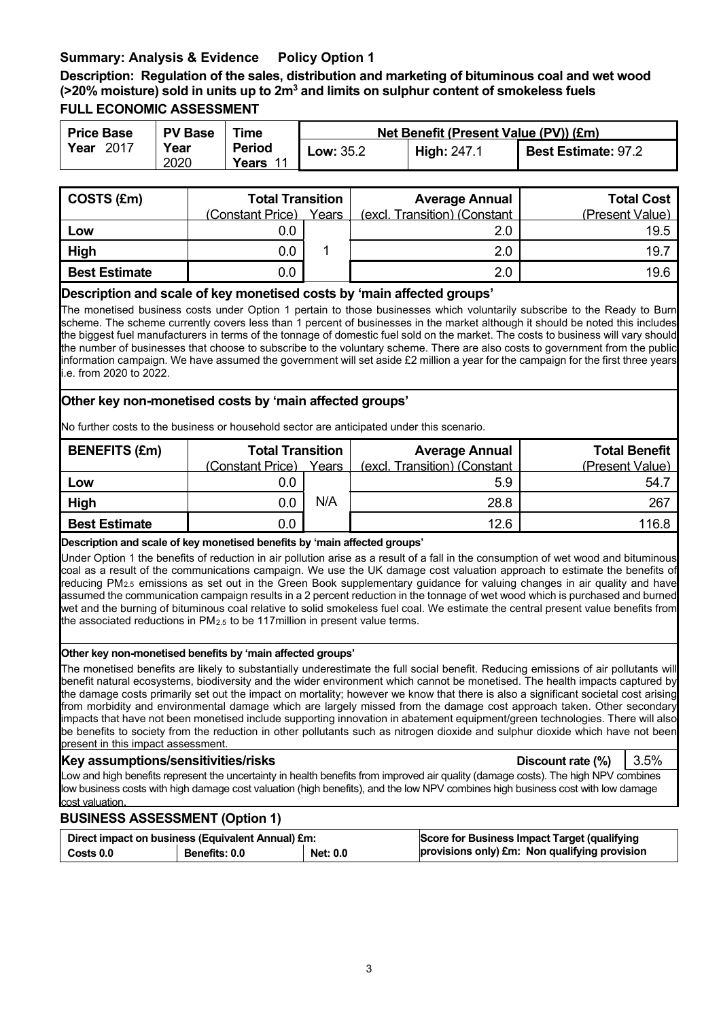## **Summary: Analysis & Evidence Policy Option 1**

**Description: Regulation of the sales, distribution and marketing of bituminous coal and wet wood (>20% moisture) sold in units up to 2m3 and limits on sulphur content of smokeless fuels FULL ECONOMIC ASSESSMENT**

| <b>Price Base</b> | <b>PV Base</b> | Time                   | Net Benefit (Present Value (PV)) (£m) |                    |                            |  |
|-------------------|----------------|------------------------|---------------------------------------|--------------------|----------------------------|--|
| Year<br>- 2017    | Year<br>2020   | <b>Period</b><br>Years | <b>Low: 35.2</b>                      | <b>High: 247.1</b> | <b>Best Estimate: 97.2</b> |  |

| COSTS (£m)           | <b>Total Transition</b><br>(Constant Price) | Years | <b>Average Annual</b><br>(excl. Transition) (Constant | <b>Total Cost</b><br>(Present Value) |
|----------------------|---------------------------------------------|-------|-------------------------------------------------------|--------------------------------------|
| Low                  | 0.0                                         |       | 2.0                                                   | 19.5                                 |
| High                 | 0.0                                         |       | 2.0                                                   | 19.7                                 |
| <b>Best Estimate</b> | $0.0\,$                                     |       | 2.0                                                   | 19.6                                 |

#### **Description and scale of key monetised costs by 'main affected groups'**

The monetised business costs under Option 1 pertain to those businesses which voluntarily subscribe to the Ready to Burn scheme. The scheme currently covers less than 1 percent of businesses in the market although it should be noted this includes the biggest fuel manufacturers in terms of the tonnage of domestic fuel sold on the market. The costs to business will vary should the number of businesses that choose to subscribe to the voluntary scheme. There are also costs to government from the public information campaign. We have assumed the government will set aside £2 million a year for the campaign for the first three years i.e. from 2020 to 2022.

#### **Other key non-monetised costs by 'main affected groups'**

No further costs to the business or household sector are anticipated under this scenario.

| <b>BENEFITS (£m)</b> | <b>Total Transition</b> |       | <b>Average Annual</b>        | <b>Total Benefit</b> |
|----------------------|-------------------------|-------|------------------------------|----------------------|
|                      | (Constant Price)        | Years | (excl. Transition) (Constant | (Present Value)      |
| Low                  | 0.0                     |       | 5.9                          | 54.7                 |
| High                 | 0.0                     | N/A   | 28.8                         | 267                  |
| <b>Best Estimate</b> | 0.0                     |       | 12.6                         | 116.8                |

#### **Description and scale of key monetised benefits by 'main affected groups'**

Under Option 1 the benefits of reduction in air pollution arise as a result of a fall in the consumption of wet wood and bituminous coal as a result of the communications campaign. We use the UK damage cost valuation approach to estimate the benefits of reducing PM2.5 emissions as set out in the Green Book supplementary guidance for valuing changes in air quality and have assumed the communication campaign results in a 2 percent reduction in the tonnage of wet wood which is purchased and burned wet and the burning of bituminous coal relative to solid smokeless fuel coal. We estimate the central present value benefits from the associated reductions in  $PM<sub>2.5</sub>$  to be 117 million in present value terms.

#### **Other key non-monetised benefits by 'main affected groups'**

The monetised benefits are likely to substantially underestimate the full social benefit. Reducing emissions of air pollutants will benefit natural ecosystems, biodiversity and the wider environment which cannot be monetised. The health impacts captured by the damage costs primarily set out the impact on mortality; however we know that there is also a significant societal cost arising from morbidity and environmental damage which are largely missed from the damage cost approach taken. Other secondary impacts that have not been monetised include supporting innovation in abatement equipment/green technologies. There will also be benefits to society from the reduction in other pollutants such as nitrogen dioxide and sulphur dioxide which have not been present in this impact assessment.

#### **Key assumptions/sensitivities/risks Discount rate (%)** 3.5%

Low and high benefits represent the uncertainty in health benefits from improved air quality (damage costs). The high NPV combines low business costs with high damage cost valuation (high benefits), and the low NPV combines high business cost with low damage cost valuation.

#### **BUSINESS ASSESSMENT (Option 1)**

| Direct impact on business (Equivalent Annual) £m: |                      |                 | Score for Business Impact Target (qualifying  |
|---------------------------------------------------|----------------------|-----------------|-----------------------------------------------|
| Costs 0.0                                         | <b>Benefits: 0.0</b> | <b>Net: 0.0</b> | provisions only) £m: Non qualifying provision |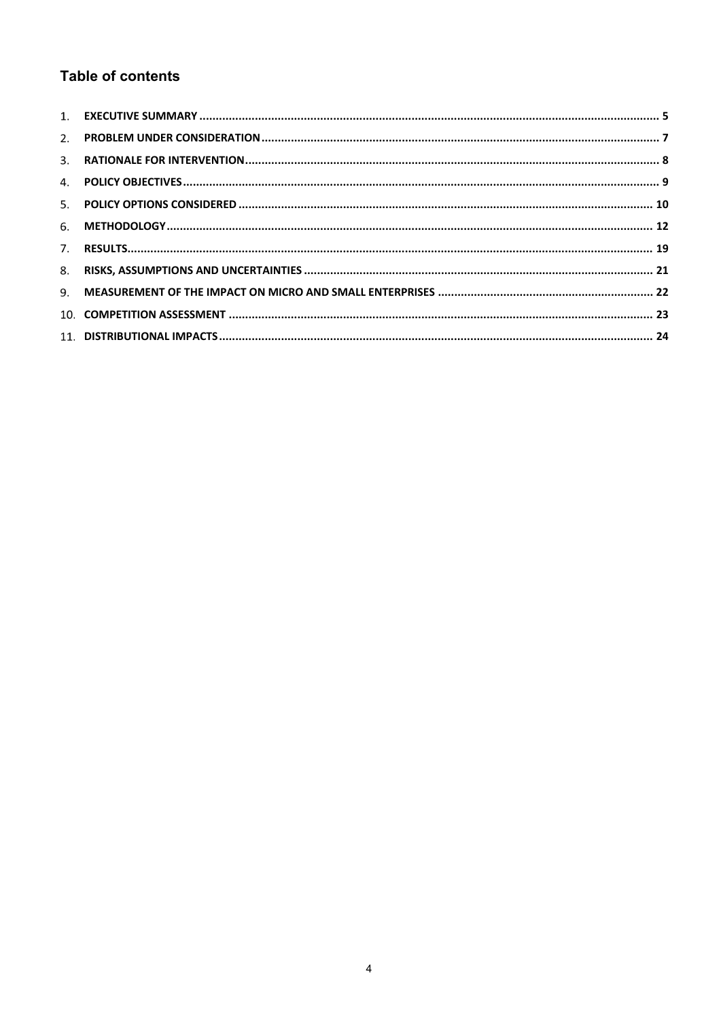# **Table of contents**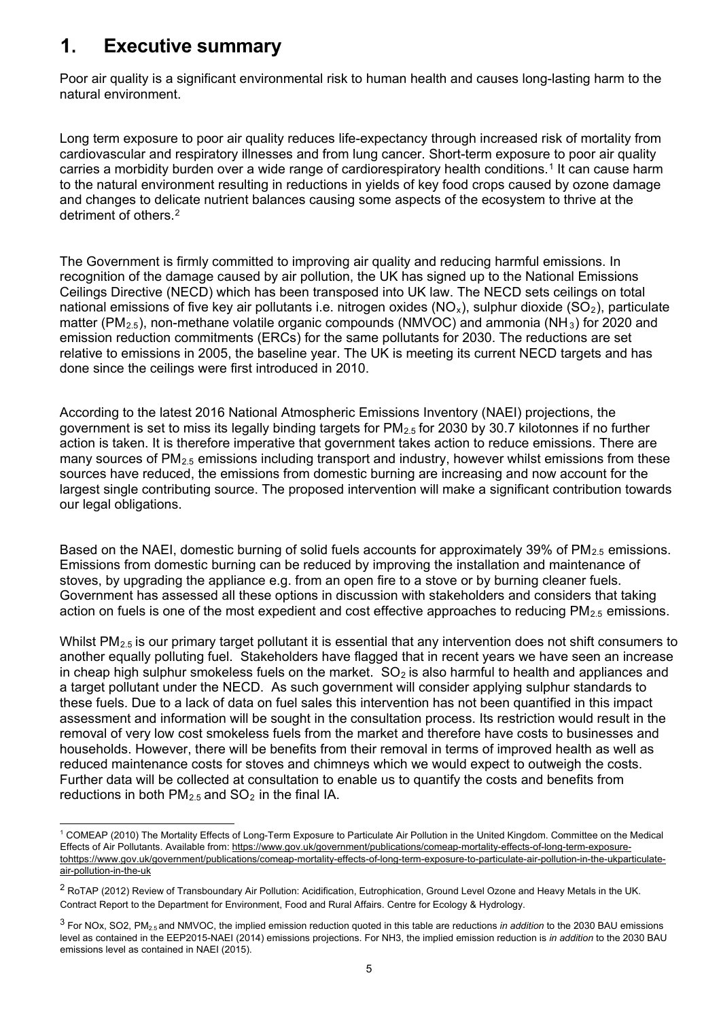#### $\mathbf 1$ **Executive summary**

Poor air quality is a significant environmental risk to human health and causes long-lasting harm to the natural environment.

Long term exposure to poor air quality reduces life-expectancy through increased risk of mortality from cardiovascular and respiratory illnesses and from lung cancer. Short-term exposure to poor air quality carries a morbidity burden over a wide range of cardiorespiratory health conditions.[1](#page-4-0) It can cause harm to the natural environment resulting in reductions in yields of key food crops caused by ozone damage and changes to delicate nutrient balances causing some aspects of the ecosystem to thrive at the detriment of others.<sup>2</sup>

The Government is firmly committed to improving air quality and reducing harmful emissions. In recognition of the damage caused by air pollution, the UK has signed up to the National Emissions Ceilings Directive (NECD) which has been transposed into UK law. The NECD sets ceilings on total national emissions of five key air pollutants i.e. nitrogen oxides ( $NO_x$ ), sulphur dioxide ( $SO_2$ ), particulate matter (PM<sub>2.5</sub>), non-methane volatile organic compounds (NMVOC) and ammonia (NH<sub>[3](#page-4-2)</sub>) for 2020 and emission reduction commitments (ERCs) for the same pollutants for 2030. The reductions are set relative to emissions in 2005, the baseline year. The UK is meeting its current NECD targets and has done since the ceilings were first introduced in 2010.

According to the latest 2016 National Atmospheric Emissions Inventory (NAEI) projections, the government is set to miss its legally binding targets for  $PM_{2.5}$  for 2030 by 30.7 kilotonnes if no further action is taken. It is therefore imperative that government takes action to reduce emissions. There are many sources of PM<sub>2.5</sub> emissions including transport and industry, however whilst emissions from these sources have reduced, the emissions from domestic burning are increasing and now account for the largest single contributing source. The proposed intervention will make a significant contribution towards our legal obligations.

Based on the NAEI, domestic burning of solid fuels accounts for approximately 39% of  $PM<sub>2.5</sub>$  emissions. Emissions from domestic burning can be reduced by improving the installation and maintenance of stoves, by upgrading the appliance e.g. from an open fire to a stove or by burning cleaner fuels. Government has assessed all these options in discussion with stakeholders and considers that taking action on fuels is one of the most expedient and cost effective approaches to reducing  $PM_{2.5}$  emissions.

Whilst PM<sub>2.5</sub> is our primary target pollutant it is essential that any intervention does not shift consumers to another equally polluting fuel. Stakeholders have flagged that in recent years we have seen an increase in cheap high sulphur smokeless fuels on the market.  $SO<sub>2</sub>$  is also harmful to health and appliances and a target pollutant under the NECD. As such government will consider applying sulphur standards to these fuels. Due to a lack of data on fuel sales this intervention has not been quantified in this impact assessment and information will be sought in the consultation process. Its restriction would result in the removal of very low cost smokeless fuels from the market and therefore have costs to businesses and households. However, there will be benefits from their removal in terms of improved health as well as reduced maintenance costs for stoves and chimneys which we would expect to outweigh the costs. Further data will be collected at consultation to enable us to quantify the costs and benefits from reductions in both  $PM_{2.5}$  and  $SO_2$  in the final IA.

<span id="page-4-0"></span> 1 COMEAP (2010) The Mortality Effects of Long-Term Exposure to Particulate Air Pollution in the United Kingdom. Committee on the Medical Effects of Air Pollutants. Available fro[m: https://www.gov.uk/government/publications/comeap-mortality-effects-of-long-term-exposure](https://www.gov.uk/government/publications/comeap-mortality-effects-of-long-term-exposure-to-particulate-air-pollution-in-the-uk)[tohttps://www.gov.uk/government/publications/comeap-mortality-effects-of-long-term-exposure-to-particulate-air-pollution-in-the-ukparticulate](https://www.gov.uk/government/publications/comeap-mortality-effects-of-long-term-exposure-to-particulate-air-pollution-in-the-uk)[air-pollution-in-the-uk](https://www.gov.uk/government/publications/comeap-mortality-effects-of-long-term-exposure-to-particulate-air-pollution-in-the-uk)

<span id="page-4-1"></span><sup>&</sup>lt;sup>2</sup> RoTAP (2012) Review of Transboundary Air Pollution: Acidification, Eutrophication, Ground Level Ozone and Heavy Metals in the UK. Contract Report to the Department for Environment, Food and Rural Affairs. Centre for Ecology & Hydrology.

<span id="page-4-2"></span><sup>3</sup> For NOx, SO2, PM2.5 and NMVOC, the implied emission reduction quoted in this table are reductions *in addition* to the 2030 BAU emissions level as contained in the EEP2015-NAEI (2014) emissions projections. For NH3, the implied emission reduction is *in addition* to the 2030 BAU emissions level as contained in NAEI (2015).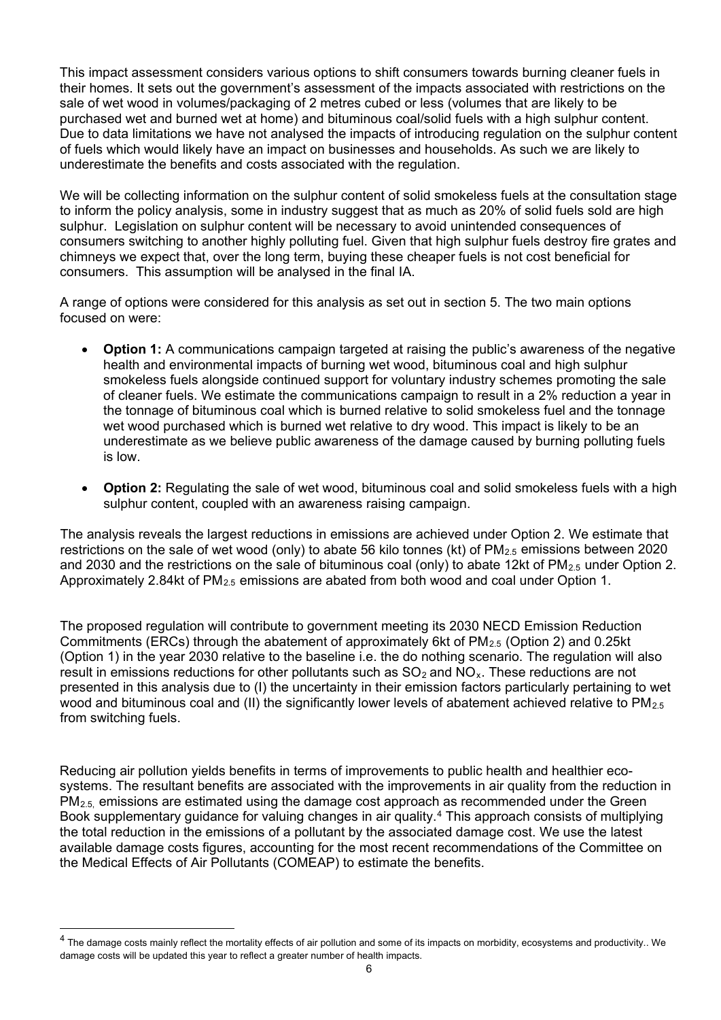This impact assessment considers various options to shift consumers towards burning cleaner fuels in their homes. It sets out the government's assessment of the impacts associated with restrictions on the sale of wet wood in volumes/packaging of 2 metres cubed or less (volumes that are likely to be purchased wet and burned wet at home) and bituminous coal/solid fuels with a high sulphur content. Due to data limitations we have not analysed the impacts of introducing regulation on the sulphur content of fuels which would likely have an impact on businesses and households. As such we are likely to underestimate the benefits and costs associated with the regulation.

We will be collecting information on the sulphur content of solid smokeless fuels at the consultation stage to inform the policy analysis, some in industry suggest that as much as 20% of solid fuels sold are high sulphur. Legislation on sulphur content will be necessary to avoid unintended consequences of consumers switching to another highly polluting fuel. Given that high sulphur fuels destroy fire grates and chimneys we expect that, over the long term, buying these cheaper fuels is not cost beneficial for consumers. This assumption will be analysed in the final IA.

A range of options were considered for this analysis as set out in section 5. The two main options focused on were:

- **Option 1:** A communications campaign targeted at raising the public's awareness of the negative health and environmental impacts of burning wet wood, bituminous coal and high sulphur smokeless fuels alongside continued support for voluntary industry schemes promoting the sale of cleaner fuels. We estimate the communications campaign to result in a 2% reduction a year in the tonnage of bituminous coal which is burned relative to solid smokeless fuel and the tonnage wet wood purchased which is burned wet relative to dry wood. This impact is likely to be an underestimate as we believe public awareness of the damage caused by burning polluting fuels is low.
- **Option 2:** Regulating the sale of wet wood, bituminous coal and solid smokeless fuels with a high sulphur content, coupled with an awareness raising campaign.

The analysis reveals the largest reductions in emissions are achieved under Option 2. We estimate that restrictions on the sale of wet wood (only) to abate 56 kilo tonnes (kt) of  $PM_{2.5}$  emissions between 2020 and 2030 and the restrictions on the sale of bituminous coal (only) to abate 12kt of  $PM_{2.5}$  under Option 2. Approximately 2.84kt of  $PM<sub>2.5</sub>$  emissions are abated from both wood and coal under Option 1.

The proposed regulation will contribute to government meeting its 2030 NECD Emission Reduction Commitments (ERCs) through the abatement of approximately 6kt of PM2.5 (Option 2) and 0.25kt (Option 1) in the year 2030 relative to the baseline i.e. the do nothing scenario. The regulation will also result in emissions reductions for other pollutants such as  $SO<sub>2</sub>$  and  $NO<sub>x</sub>$ . These reductions are not presented in this analysis due to (I) the uncertainty in their emission factors particularly pertaining to wet wood and bituminous coal and (II) the significantly lower levels of abatement achieved relative to PM<sub>2.5</sub> from switching fuels.

Reducing air pollution yields benefits in terms of improvements to public health and healthier ecosystems. The resultant benefits are associated with the improvements in air quality from the reduction in  $PM<sub>2.5</sub>$  emissions are estimated using the damage cost approach as recommended under the Green Book supplementary guidance for valuing changes in air quality.[4](#page-5-0) This approach consists of multiplying the total reduction in the emissions of a pollutant by the associated damage cost. We use the latest available damage costs figures, accounting for the most recent recommendations of the Committee on the Medical Effects of Air Pollutants (COMEAP) to estimate the benefits.

<span id="page-5-0"></span><sup>&</sup>lt;sup>4</sup> The damage costs mainly reflect the mortality effects of air pollution and some of its impacts on morbidity, ecosystems and productivity.. We damage costs will be updated this year to reflect a greater number of health impacts.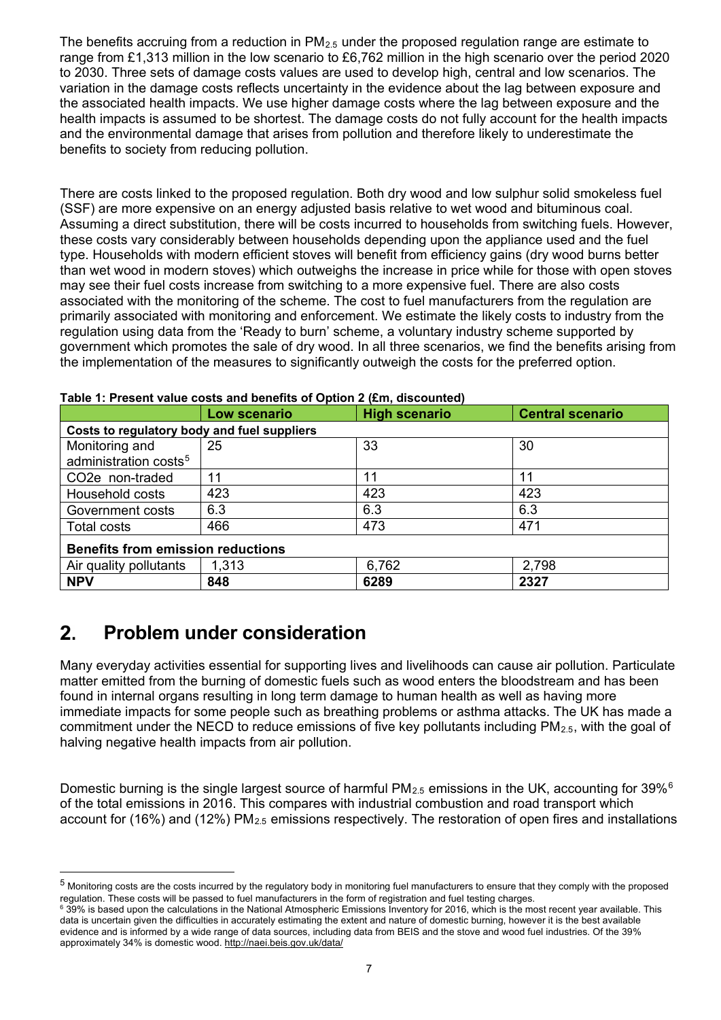The benefits accruing from a reduction in  $PM_{2.5}$  under the proposed regulation range are estimate to range from £1,313 million in the low scenario to £6,762 million in the high scenario over the period 2020 to 2030. Three sets of damage costs values are used to develop high, central and low scenarios. The variation in the damage costs reflects uncertainty in the evidence about the lag between exposure and the associated health impacts. We use higher damage costs where the lag between exposure and the health impacts is assumed to be shortest. The damage costs do not fully account for the health impacts and the environmental damage that arises from pollution and therefore likely to underestimate the benefits to society from reducing pollution.

There are costs linked to the proposed regulation. Both dry wood and low sulphur solid smokeless fuel (SSF) are more expensive on an energy adjusted basis relative to wet wood and bituminous coal. Assuming a direct substitution, there will be costs incurred to households from switching fuels. However, these costs vary considerably between households depending upon the appliance used and the fuel type. Households with modern efficient stoves will benefit from efficiency gains (dry wood burns better than wet wood in modern stoves) which outweighs the increase in price while for those with open stoves may see their fuel costs increase from switching to a more expensive fuel. There are also costs associated with the monitoring of the scheme. The cost to fuel manufacturers from the regulation are primarily associated with monitoring and enforcement. We estimate the likely costs to industry from the regulation using data from the 'Ready to burn' scheme, a voluntary industry scheme supported by government which promotes the sale of dry wood. In all three scenarios, we find the benefits arising from the implementation of the measures to significantly outweigh the costs for the preferred option.

|                                             | Low scenario | <b>High scenario</b> | <b>Central scenario</b> |  |  |
|---------------------------------------------|--------------|----------------------|-------------------------|--|--|
| Costs to regulatory body and fuel suppliers |              |                      |                         |  |  |
| Monitoring and                              | 25           | 33                   | 30                      |  |  |
| administration costs <sup>5</sup>           |              |                      |                         |  |  |
| CO <sub>2</sub> e non-traded                | 11           | 11                   | 11                      |  |  |
| Household costs                             | 423          | 423                  | 423                     |  |  |
| Government costs                            | 6.3          | 6.3                  | 6.3                     |  |  |
| <b>Total costs</b>                          | 466          | 473                  | 471                     |  |  |
| <b>Benefits from emission reductions</b>    |              |                      |                         |  |  |
| Air quality pollutants                      | 1,313        | 6,762                | 2,798                   |  |  |
| <b>NPV</b>                                  | 848          | 6289                 | 2327                    |  |  |

#### **Table 1: Present value costs and benefits of Option 2 (£m, discounted)**

#### $2<sub>1</sub>$ **Problem under consideration**

-

Many everyday activities essential for supporting lives and livelihoods can cause air pollution. Particulate matter emitted from the burning of domestic fuels such as wood enters the bloodstream and has been found in internal organs resulting in long term damage to human health as well as having more immediate impacts for some people such as breathing problems or asthma attacks. The UK has made a commitment under the NECD to reduce emissions of five key pollutants including  $PM_{2.5}$ , with the goal of halving negative health impacts from air pollution.

Domestic burning is the single largest source of harmful PM<sub>2.5</sub> emissions in the UK, accounting for 39%<sup>[6](#page-6-1)</sup> of the total emissions in 2016. This compares with industrial combustion and road transport which account for (16%) and (12%)  $PM_{2.5}$  emissions respectively. The restoration of open fires and installations

<span id="page-6-0"></span><sup>5</sup> Monitoring costs are the costs incurred by the regulatory body in monitoring fuel manufacturers to ensure that they comply with the proposed regulation. These costs will be passed to fuel manufacturers in the form of registration and fuel testing charges.

<span id="page-6-1"></span><sup>6</sup> 39% is based upon the calculations in the National Atmospheric Emissions Inventory for 2016, which is the most recent year available. This data is uncertain given the difficulties in accurately estimating the extent and nature of domestic burning, however it is the best available evidence and is informed by a wide range of data sources, including data from BEIS and the stove and wood fuel industries. Of the 39% approximately 34% is domestic wood[. http://naei.beis.gov.uk/data/](http://naei.beis.gov.uk/data/)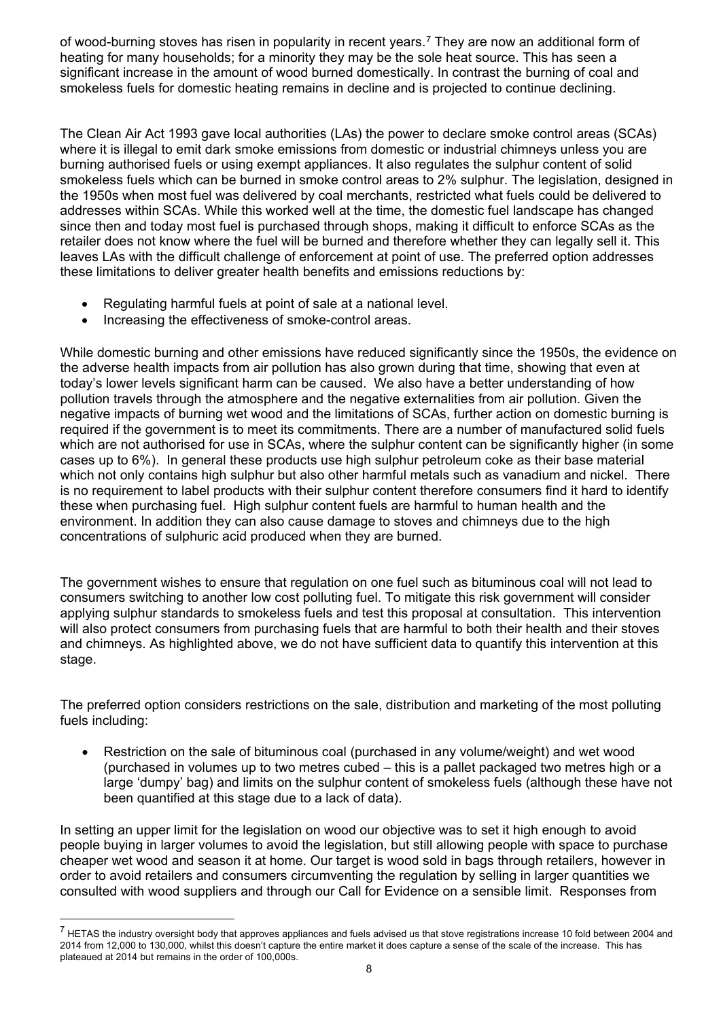of wood-burning stoves has risen in popularity in recent years.<sup>[7](#page-7-0)</sup> They are now an additional form of heating for many households; for a minority they may be the sole heat source. This has seen a significant increase in the amount of wood burned domestically. In contrast the burning of coal and smokeless fuels for domestic heating remains in decline and is projected to continue declining.

The Clean Air Act 1993 gave local authorities (LAs) the power to declare smoke control areas (SCAs) where it is illegal to emit dark smoke emissions from domestic or industrial chimneys unless you are burning authorised fuels or using exempt appliances. It also regulates the sulphur content of solid smokeless fuels which can be burned in smoke control areas to 2% sulphur. The legislation, designed in the 1950s when most fuel was delivered by coal merchants, restricted what fuels could be delivered to addresses within SCAs. While this worked well at the time, the domestic fuel landscape has changed since then and today most fuel is purchased through shops, making it difficult to enforce SCAs as the retailer does not know where the fuel will be burned and therefore whether they can legally sell it. This leaves LAs with the difficult challenge of enforcement at point of use. The preferred option addresses these limitations to deliver greater health benefits and emissions reductions by:

- Regulating harmful fuels at point of sale at a national level.
- Increasing the effectiveness of smoke-control areas.

While domestic burning and other emissions have reduced significantly since the 1950s, the evidence on the adverse health impacts from air pollution has also grown during that time, showing that even at today's lower levels significant harm can be caused. We also have a better understanding of how pollution travels through the atmosphere and the negative externalities from air pollution. Given the negative impacts of burning wet wood and the limitations of SCAs, further action on domestic burning is required if the government is to meet its commitments. There are a number of manufactured solid fuels which are not authorised for use in SCAs, where the sulphur content can be significantly higher (in some cases up to 6%). In general these products use high sulphur petroleum coke as their base material which not only contains high sulphur but also other harmful metals such as vanadium and nickel. There is no requirement to label products with their sulphur content therefore consumers find it hard to identify these when purchasing fuel. High sulphur content fuels are harmful to human health and the environment. In addition they can also cause damage to stoves and chimneys due to the high concentrations of sulphuric acid produced when they are burned.

The government wishes to ensure that regulation on one fuel such as bituminous coal will not lead to consumers switching to another low cost polluting fuel. To mitigate this risk government will consider applying sulphur standards to smokeless fuels and test this proposal at consultation. This intervention will also protect consumers from purchasing fuels that are harmful to both their health and their stoves and chimneys. As highlighted above, we do not have sufficient data to quantify this intervention at this stage.

The preferred option considers restrictions on the sale, distribution and marketing of the most polluting fuels including:

• Restriction on the sale of bituminous coal (purchased in any volume/weight) and wet wood (purchased in volumes up to two metres cubed – this is a pallet packaged two metres high or a large 'dumpy' bag) and limits on the sulphur content of smokeless fuels (although these have not been quantified at this stage due to a lack of data).

In setting an upper limit for the legislation on wood our objective was to set it high enough to avoid people buying in larger volumes to avoid the legislation, but still allowing people with space to purchase cheaper wet wood and season it at home. Our target is wood sold in bags through retailers, however in order to avoid retailers and consumers circumventing the regulation by selling in larger quantities we consulted with wood suppliers and through our Call for Evidence on a sensible limit. Responses from

<span id="page-7-0"></span> $7$  HETAS the industry oversight body that approves appliances and fuels advised us that stove registrations increase 10 fold between 2004 and 2014 from 12,000 to 130,000, whilst this doesn't capture the entire market it does capture a sense of the scale of the increase. This has plateaued at 2014 but remains in the order of 100,000s.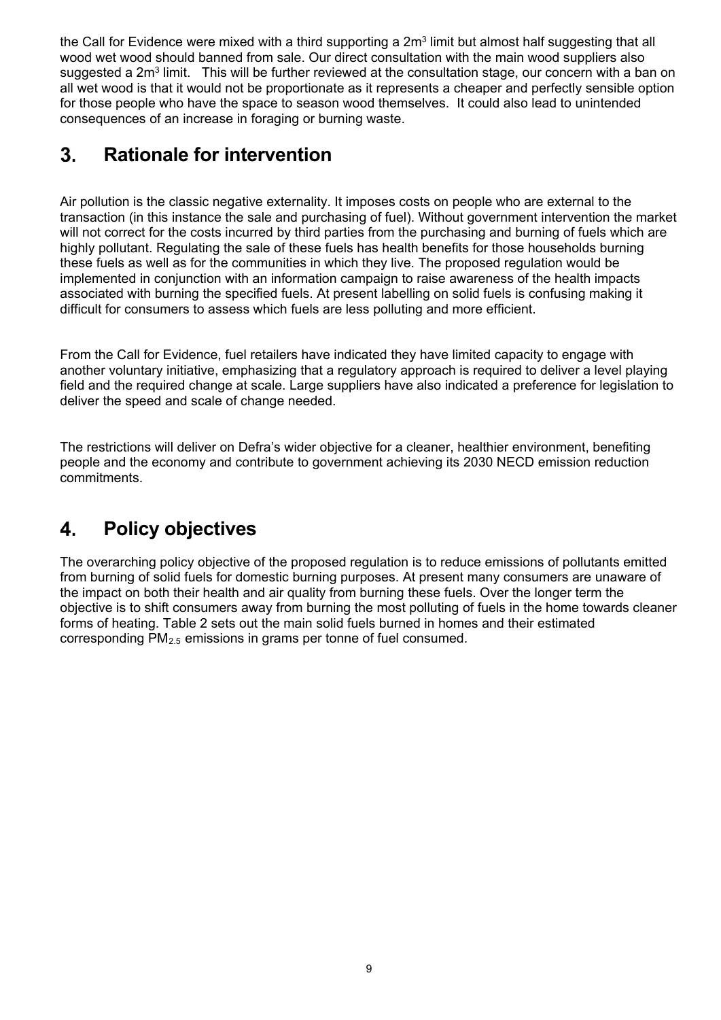the Call for Evidence were mixed with a third supporting a 2m<sup>3</sup> limit but almost half suggesting that all wood wet wood should banned from sale. Our direct consultation with the main wood suppliers also suggested a 2m<sup>3</sup> limit. This will be further reviewed at the consultation stage, our concern with a ban on all wet wood is that it would not be proportionate as it represents a cheaper and perfectly sensible option for those people who have the space to season wood themselves. It could also lead to unintended consequences of an increase in foraging or burning waste.

#### $3<sub>1</sub>$ **Rationale for intervention**

Air pollution is the classic negative externality. It imposes costs on people who are external to the transaction (in this instance the sale and purchasing of fuel). Without government intervention the market will not correct for the costs incurred by third parties from the purchasing and burning of fuels which are highly pollutant. Regulating the sale of these fuels has health benefits for those households burning these fuels as well as for the communities in which they live. The proposed regulation would be implemented in conjunction with an information campaign to raise awareness of the health impacts associated with burning the specified fuels. At present labelling on solid fuels is confusing making it difficult for consumers to assess which fuels are less polluting and more efficient.

From the Call for Evidence, fuel retailers have indicated they have limited capacity to engage with another voluntary initiative, emphasizing that a regulatory approach is required to deliver a level playing field and the required change at scale. Large suppliers have also indicated a preference for legislation to deliver the speed and scale of change needed.

The restrictions will deliver on Defra's wider objective for a cleaner, healthier environment, benefiting people and the economy and contribute to government achieving its 2030 NECD emission reduction commitments.

#### $\mathbf{4}$ **Policy objectives**

The overarching policy objective of the proposed regulation is to reduce emissions of pollutants emitted from burning of solid fuels for domestic burning purposes. At present many consumers are unaware of the impact on both their health and air quality from burning these fuels. Over the longer term the objective is to shift consumers away from burning the most polluting of fuels in the home towards cleaner forms of heating. Table 2 sets out the main solid fuels burned in homes and their estimated corresponding PM2.5 emissions in grams per tonne of fuel consumed.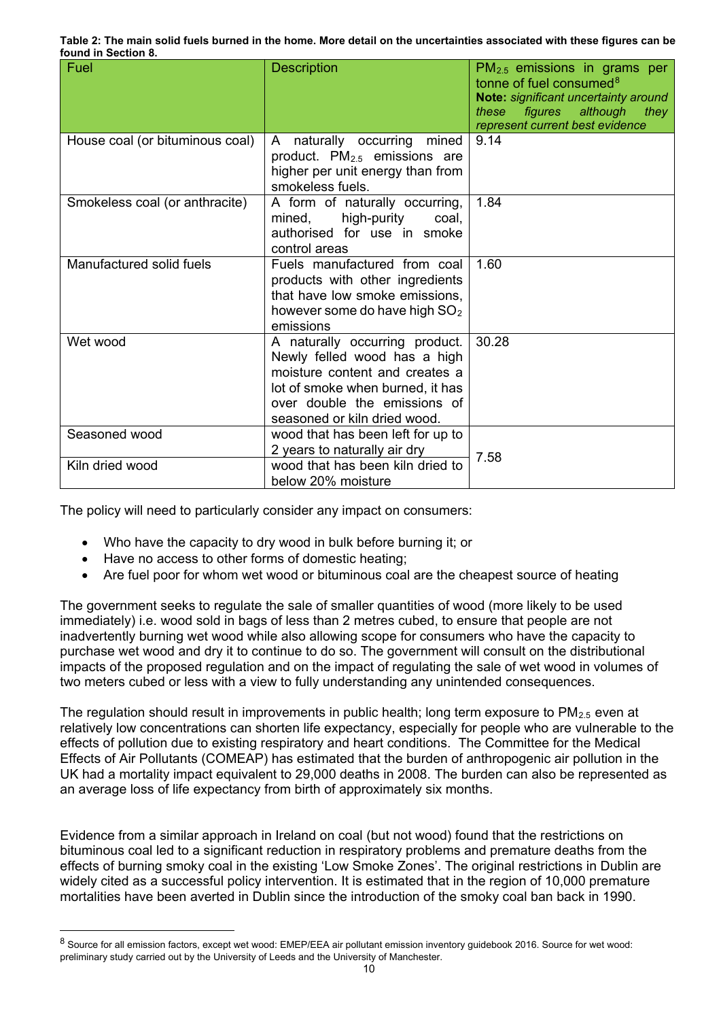|                     | Table 2: The main solid fuels burned in the home. More detail on the uncertainties associated with these figures can be |
|---------------------|-------------------------------------------------------------------------------------------------------------------------|
| found in Section 8. |                                                                                                                         |

| Fuel                            | <b>Description</b>                                                                                                                                                                                   | $PM2.5$ emissions in grams per<br>tonne of fuel consumed <sup>8</sup><br>Note: significant uncertainty around<br>figures although they<br>these<br>represent current best evidence |
|---------------------------------|------------------------------------------------------------------------------------------------------------------------------------------------------------------------------------------------------|------------------------------------------------------------------------------------------------------------------------------------------------------------------------------------|
| House coal (or bituminous coal) | naturally occurring<br>mined<br>A<br>product. $PM_{2.5}$ emissions are<br>higher per unit energy than from<br>smokeless fuels.                                                                       | 9.14                                                                                                                                                                               |
| Smokeless coal (or anthracite)  | A form of naturally occurring,<br>high-purity<br>mined,<br>coal,<br>authorised for use in smoke<br>control areas                                                                                     | 1.84                                                                                                                                                                               |
| Manufactured solid fuels        | Fuels manufactured from coal<br>products with other ingredients<br>that have low smoke emissions,<br>however some do have high $SO2$<br>emissions                                                    | 1.60                                                                                                                                                                               |
| Wet wood                        | A naturally occurring product.<br>Newly felled wood has a high<br>moisture content and creates a<br>lot of smoke when burned, it has<br>over double the emissions of<br>seasoned or kiln dried wood. | 30.28                                                                                                                                                                              |
| Seasoned wood                   | wood that has been left for up to<br>2 years to naturally air dry                                                                                                                                    | 7.58                                                                                                                                                                               |
| Kiln dried wood                 | wood that has been kiln dried to<br>below 20% moisture                                                                                                                                               |                                                                                                                                                                                    |

The policy will need to particularly consider any impact on consumers:

- Who have the capacity to dry wood in bulk before burning it; or
- Have no access to other forms of domestic heating;
- Are fuel poor for whom wet wood or bituminous coal are the cheapest source of heating

The government seeks to regulate the sale of smaller quantities of wood (more likely to be used immediately) i.e. wood sold in bags of less than 2 metres cubed, to ensure that people are not inadvertently burning wet wood while also allowing scope for consumers who have the capacity to purchase wet wood and dry it to continue to do so. The government will consult on the distributional impacts of the proposed regulation and on the impact of regulating the sale of wet wood in volumes of two meters cubed or less with a view to fully understanding any unintended consequences.

The regulation should result in improvements in public health; long term exposure to  $PM_{2.5}$  even at relatively low concentrations can shorten life expectancy, especially for people who are vulnerable to the effects of pollution due to existing respiratory and heart conditions. The Committee for the Medical Effects of Air Pollutants (COMEAP) has estimated that the burden of anthropogenic air pollution in the UK had a mortality impact equivalent to 29,000 deaths in 2008. The burden can also be represented as an average loss of life expectancy from birth of approximately six months.

Evidence from a similar approach in Ireland on coal (but not wood) found that the restrictions on bituminous coal led to a significant reduction in respiratory problems and premature deaths from the effects of burning smoky coal in the existing 'Low Smoke Zones'. The original restrictions in Dublin are widely cited as a successful policy intervention. It is estimated that in the region of 10,000 premature mortalities have been averted in Dublin since the introduction of the smoky coal ban back in 1990.

<span id="page-9-0"></span> <sup>8</sup> Source for all emission factors, except wet wood: EMEP/EEA air pollutant emission inventory guidebook 2016. Source for wet wood: preliminary study carried out by the University of Leeds and the University of Manchester.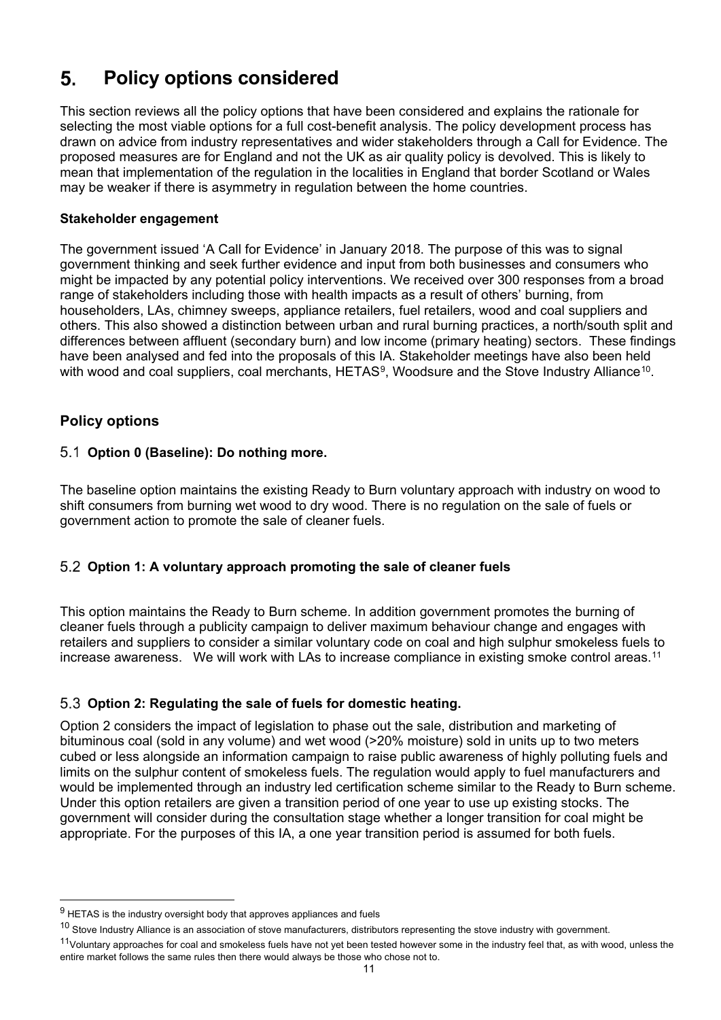#### **Policy options considered**   $5<sub>-</sub>$

This section reviews all the policy options that have been considered and explains the rationale for selecting the most viable options for a full cost-benefit analysis. The policy development process has drawn on advice from industry representatives and wider stakeholders through a Call for Evidence. The proposed measures are for England and not the UK as air quality policy is devolved. This is likely to mean that implementation of the regulation in the localities in England that border Scotland or Wales may be weaker if there is asymmetry in regulation between the home countries.

#### **Stakeholder engagement**

The government issued 'A Call for Evidence' in January 2018. The purpose of this was to signal government thinking and seek further evidence and input from both businesses and consumers who might be impacted by any potential policy interventions. We received over 300 responses from a broad range of stakeholders including those with health impacts as a result of others' burning, from householders, LAs, chimney sweeps, appliance retailers, fuel retailers, wood and coal suppliers and others. This also showed a distinction between urban and rural burning practices, a north/south split and differences between affluent (secondary burn) and low income (primary heating) sectors. These findings have been analysed and fed into the proposals of this IA. Stakeholder meetings have also been held with wood and coal suppliers, coal merchants, HETAS<sup>[9](#page-10-0)</sup>, Woodsure and the Stove Industry Alliance<sup>[10](#page-10-1)</sup>.

# **Policy options**

j

## **Option 0 (Baseline): Do nothing more.**

The baseline option maintains the existing Ready to Burn voluntary approach with industry on wood to shift consumers from burning wet wood to dry wood. There is no regulation on the sale of fuels or government action to promote the sale of cleaner fuels.

# **Option 1: A voluntary approach promoting the sale of cleaner fuels**

This option maintains the Ready to Burn scheme. In addition government promotes the burning of cleaner fuels through a publicity campaign to deliver maximum behaviour change and engages with retailers and suppliers to consider a similar voluntary code on coal and high sulphur smokeless fuels to increase awareness. We will work with LAs to increase compliance in existing smoke control areas.<sup>[11](#page-10-2)</sup>

# **Option 2: Regulating the sale of fuels for domestic heating.**

Option 2 considers the impact of legislation to phase out the sale, distribution and marketing of bituminous coal (sold in any volume) and wet wood (>20% moisture) sold in units up to two meters cubed or less alongside an information campaign to raise public awareness of highly polluting fuels and limits on the sulphur content of smokeless fuels. The regulation would apply to fuel manufacturers and would be implemented through an industry led certification scheme similar to the Ready to Burn scheme. Under this option retailers are given a transition period of one year to use up existing stocks. The government will consider during the consultation stage whether a longer transition for coal might be appropriate. For the purposes of this IA, a one year transition period is assumed for both fuels.

<span id="page-10-0"></span> $9$  HETAS is the industry oversight body that approves appliances and fuels

<span id="page-10-1"></span> $10$  Stove Industry Alliance is an association of stove manufacturers, distributors representing the stove industry with government.

<span id="page-10-2"></span><sup>&</sup>lt;sup>11</sup>Voluntary approaches for coal and smokeless fuels have not yet been tested however some in the industry feel that, as with wood, unless the entire market follows the same rules then there would always be those who chose not to.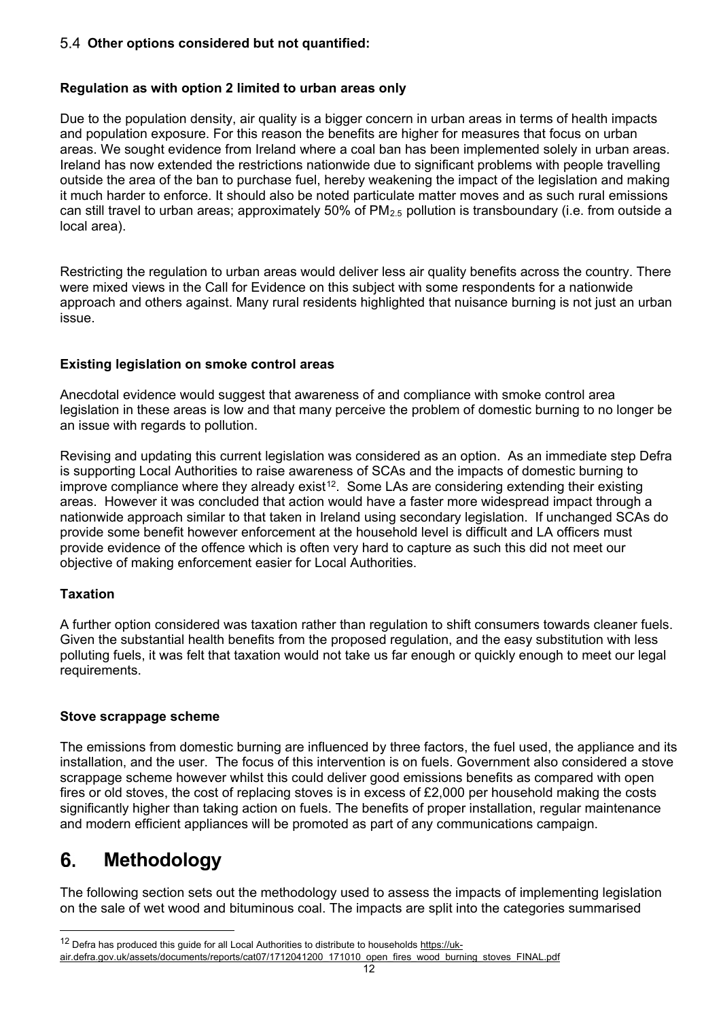#### **Other options considered but not quantified:**

#### **Regulation as with option 2 limited to urban areas only**

Due to the population density, air quality is a bigger concern in urban areas in terms of health impacts and population exposure. For this reason the benefits are higher for measures that focus on urban areas. We sought evidence from Ireland where a coal ban has been implemented solely in urban areas. Ireland has now extended the restrictions nationwide due to significant problems with people travelling outside the area of the ban to purchase fuel, hereby weakening the impact of the legislation and making it much harder to enforce. It should also be noted particulate matter moves and as such rural emissions can still travel to urban areas; approximately 50% of  $PM_{2.5}$  pollution is transboundary (i.e. from outside a local area).

Restricting the regulation to urban areas would deliver less air quality benefits across the country. There were mixed views in the Call for Evidence on this subject with some respondents for a nationwide approach and others against. Many rural residents highlighted that nuisance burning is not just an urban issue.

### **Existing legislation on smoke control areas**

Anecdotal evidence would suggest that awareness of and compliance with smoke control area legislation in these areas is low and that many perceive the problem of domestic burning to no longer be an issue with regards to pollution.

Revising and updating this current legislation was considered as an option. As an immediate step Defra is supporting Local Authorities to raise awareness of SCAs and the impacts of domestic burning to improve compliance where they already exist<sup>[12](#page-11-0)</sup>. Some LAs are considering extending their existing areas. However it was concluded that action would have a faster more widespread impact through a nationwide approach similar to that taken in Ireland using secondary legislation. If unchanged SCAs do provide some benefit however enforcement at the household level is difficult and LA officers must provide evidence of the offence which is often very hard to capture as such this did not meet our objective of making enforcement easier for Local Authorities.

### **Taxation**

-

A further option considered was taxation rather than regulation to shift consumers towards cleaner fuels. Given the substantial health benefits from the proposed regulation, and the easy substitution with less polluting fuels, it was felt that taxation would not take us far enough or quickly enough to meet our legal requirements.

#### **Stove scrappage scheme**

The emissions from domestic burning are influenced by three factors, the fuel used, the appliance and its installation, and the user. The focus of this intervention is on fuels. Government also considered a stove scrappage scheme however whilst this could deliver good emissions benefits as compared with open fires or old stoves, the cost of replacing stoves is in excess of £2,000 per household making the costs significantly higher than taking action on fuels. The benefits of proper installation, regular maintenance and modern efficient appliances will be promoted as part of any communications campaign.

#### 6. **Methodology**

The following section sets out the methodology used to assess the impacts of implementing legislation on the sale of wet wood and bituminous coal. The impacts are split into the categories summarised

<span id="page-11-0"></span><sup>&</sup>lt;sup>12</sup> Defra has produced this guide for all Local Authorities to distribute to households [https://uk-](https://uk-air.defra.gov.uk/assets/documents/reports/cat07/1712041200_171010_open_fires_wood_burning_stoves_FINAL.pdf)

air.defra.gov.uk/assets/documents/reports/cat07/1712041200\_171010\_open\_fires\_wood\_burning\_stoves\_FINAL.pdf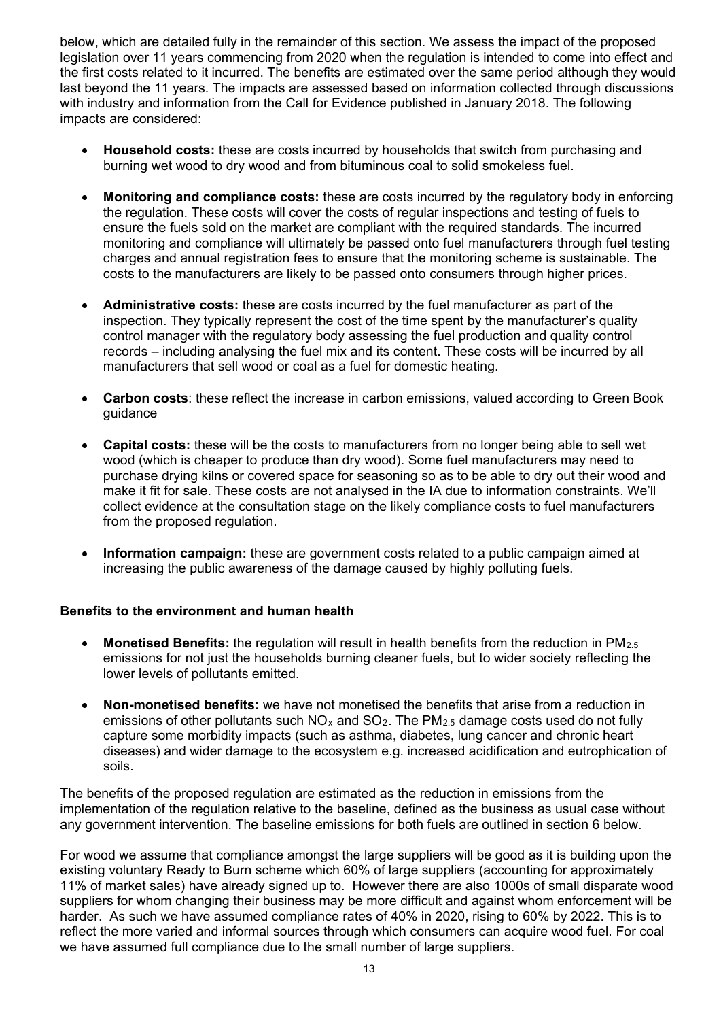below, which are detailed fully in the remainder of this section. We assess the impact of the proposed legislation over 11 years commencing from 2020 when the regulation is intended to come into effect and the first costs related to it incurred. The benefits are estimated over the same period although they would last beyond the 11 years. The impacts are assessed based on information collected through discussions with industry and information from the Call for Evidence published in January 2018. The following impacts are considered:

- **Household costs:** these are costs incurred by households that switch from purchasing and burning wet wood to dry wood and from bituminous coal to solid smokeless fuel.
- **Monitoring and compliance costs:** these are costs incurred by the regulatory body in enforcing the regulation. These costs will cover the costs of regular inspections and testing of fuels to ensure the fuels sold on the market are compliant with the required standards. The incurred monitoring and compliance will ultimately be passed onto fuel manufacturers through fuel testing charges and annual registration fees to ensure that the monitoring scheme is sustainable. The costs to the manufacturers are likely to be passed onto consumers through higher prices.
- **Administrative costs:** these are costs incurred by the fuel manufacturer as part of the inspection. They typically represent the cost of the time spent by the manufacturer's quality control manager with the regulatory body assessing the fuel production and quality control records – including analysing the fuel mix and its content. These costs will be incurred by all manufacturers that sell wood or coal as a fuel for domestic heating.
- **Carbon costs**: these reflect the increase in carbon emissions, valued according to Green Book guidance
- **Capital costs:** these will be the costs to manufacturers from no longer being able to sell wet wood (which is cheaper to produce than dry wood). Some fuel manufacturers may need to purchase drying kilns or covered space for seasoning so as to be able to dry out their wood and make it fit for sale. These costs are not analysed in the IA due to information constraints. We'll collect evidence at the consultation stage on the likely compliance costs to fuel manufacturers from the proposed regulation.
- **Information campaign:** these are government costs related to a public campaign aimed at increasing the public awareness of the damage caused by highly polluting fuels.

#### **Benefits to the environment and human health**

- Monetised Benefits: the regulation will result in health benefits from the reduction in PM<sub>2.5</sub> emissions for not just the households burning cleaner fuels, but to wider society reflecting the lower levels of pollutants emitted.
- **Non-monetised benefits:** we have not monetised the benefits that arise from a reduction in emissions of other pollutants such  $NO_x$  and  $SO_2$ . The PM<sub>2.5</sub> damage costs used do not fully capture some morbidity impacts (such as asthma, diabetes, lung cancer and chronic heart diseases) and wider damage to the ecosystem e.g. increased acidification and eutrophication of soils.

The benefits of the proposed regulation are estimated as the reduction in emissions from the implementation of the regulation relative to the baseline, defined as the business as usual case without any government intervention. The baseline emissions for both fuels are outlined in section 6 below.

For wood we assume that compliance amongst the large suppliers will be good as it is building upon the existing voluntary Ready to Burn scheme which 60% of large suppliers (accounting for approximately 11% of market sales) have already signed up to. However there are also 1000s of small disparate wood suppliers for whom changing their business may be more difficult and against whom enforcement will be harder. As such we have assumed compliance rates of 40% in 2020, rising to 60% by 2022. This is to reflect the more varied and informal sources through which consumers can acquire wood fuel. For coal we have assumed full compliance due to the small number of large suppliers.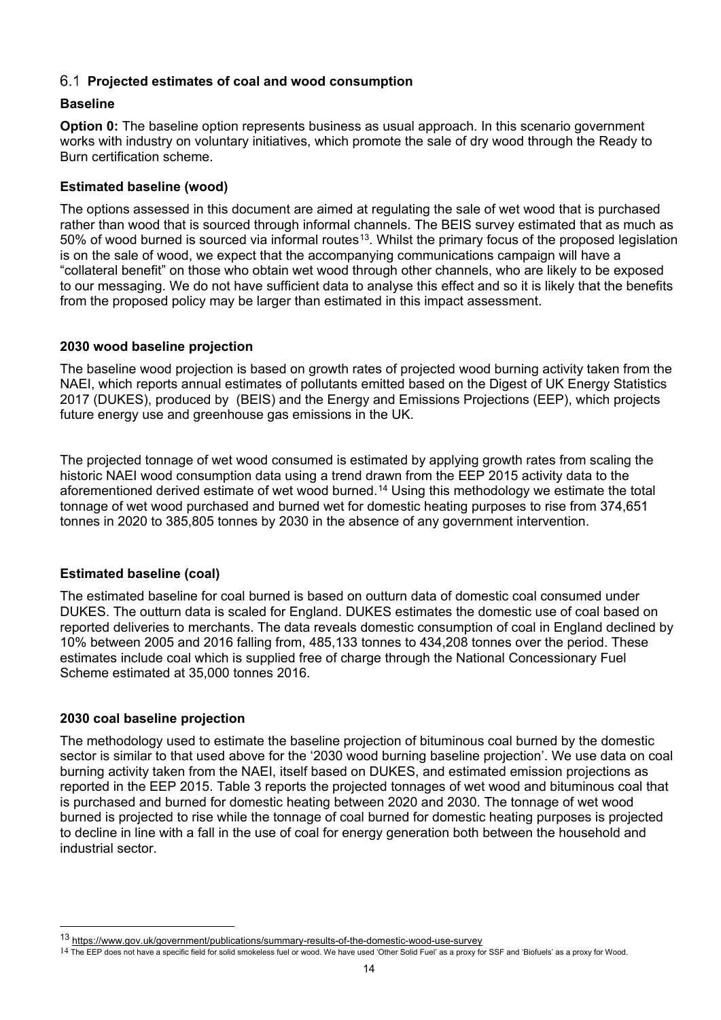### **Projected estimates of coal and wood consumption**

#### **Baseline**

**Option 0:** The baseline option represents business as usual approach. In this scenario government works with industry on voluntary initiatives, which promote the sale of dry wood through the Ready to Burn certification scheme.

#### **Estimated baseline (wood)**

The options assessed in this document are aimed at regulating the sale of wet wood that is purchased rather than wood that is sourced through informal channels. The BEIS survey estimated that as much as 50% of wood burned is sourced via informal routes<sup>13</sup>. Whilst the primary focus of the proposed legislation is on the sale of wood, we expect that the accompanying communications campaign will have a "collateral benefit" on those who obtain wet wood through other channels, who are likely to be exposed to our messaging. We do not have sufficient data to analyse this effect and so it is likely that the benefits from the proposed policy may be larger than estimated in this impact assessment.

#### **2030 wood baseline projection**

The baseline wood projection is based on growth rates of projected wood burning activity taken from the NAEI, which reports annual estimates of pollutants emitted based on the Digest of UK Energy Statistics 2017 (DUKES), produced by (BEIS) and the Energy and Emissions Projections (EEP), which projects future energy use and greenhouse gas emissions in the UK.

The projected tonnage of wet wood consumed is estimated by applying growth rates from scaling the historic NAEI wood consumption data using a trend drawn from the EEP 2015 activity data to the aforementioned derived estimate of wet wood burned.<sup>[14](#page-13-1)</sup> Using this methodology we estimate the total tonnage of wet wood purchased and burned wet for domestic heating purposes to rise from 374,651 tonnes in 2020 to 385,805 tonnes by 2030 in the absence of any government intervention.

### **Estimated baseline (coal)**

The estimated baseline for coal burned is based on outturn data of domestic coal consumed under DUKES. The outturn data is scaled for England. DUKES estimates the domestic use of coal based on reported deliveries to merchants. The data reveals domestic consumption of coal in England declined by 10% between 2005 and 2016 falling from, 485,133 tonnes to 434,208 tonnes over the period. These estimates include coal which is supplied free of charge through the National Concessionary Fuel Scheme estimated at 35,000 tonnes 2016.

#### **2030 coal baseline projection**

-

The methodology used to estimate the baseline projection of bituminous coal burned by the domestic sector is similar to that used above for the '2030 wood burning baseline projection'. We use data on coal burning activity taken from the NAEI, itself based on DUKES, and estimated emission projections as reported in the EEP 2015. [Table 3](#page-14-0) reports the projected tonnages of wet wood and bituminous coal that is purchased and burned for domestic heating between 2020 and 2030. The tonnage of wet wood burned is projected to rise while the tonnage of coal burned for domestic heating purposes is projected to decline in line with a fall in the use of coal for energy generation both between the household and industrial sector.

<span id="page-13-0"></span><sup>13</sup> <https://www.gov.uk/government/publications/summary-results-of-the-domestic-wood-use-survey>

<span id="page-13-1"></span><sup>14</sup> The EEP does not have a specific field for solid smokeless fuel or wood. We have used 'Other Solid Fuel' as a proxy for SSF and 'Biofuels' as a proxy for Wood.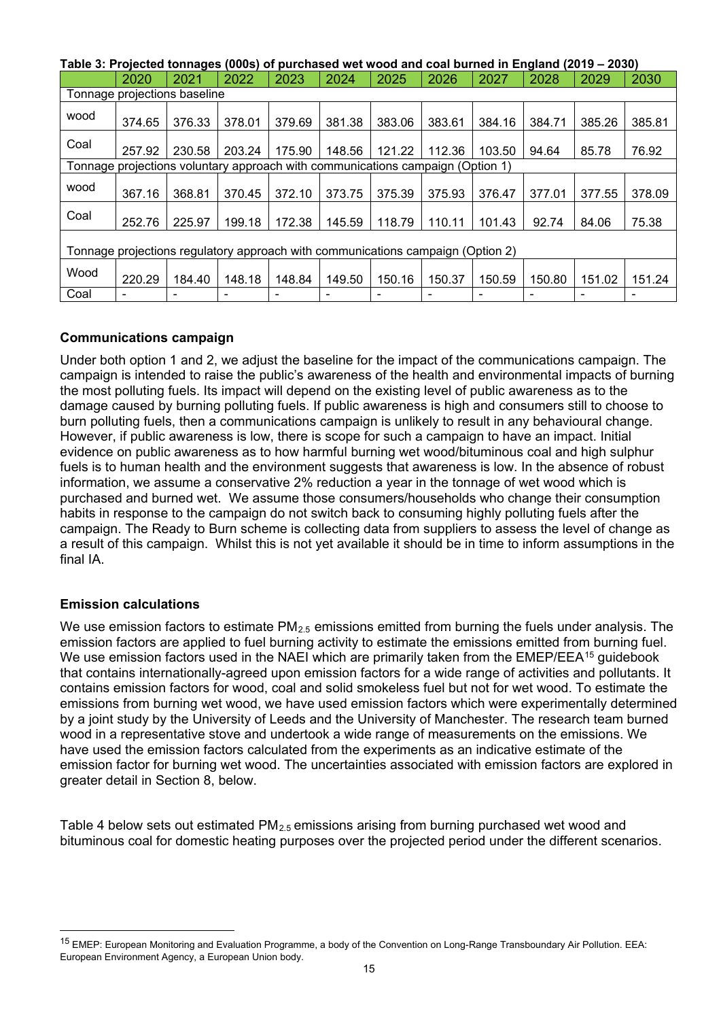<span id="page-14-0"></span>**Table 3: Projected tonnages (000s) of purchased wet wood and coal burned in England (2019 – 2030)**

|                                                                                 | 2020                                                                           | 2021   | 2022   | 2023   | 2024                     | 2025   | 2026   | 2027   | 2028   | 2029   | 2030   |
|---------------------------------------------------------------------------------|--------------------------------------------------------------------------------|--------|--------|--------|--------------------------|--------|--------|--------|--------|--------|--------|
|                                                                                 | Tonnage projections baseline                                                   |        |        |        |                          |        |        |        |        |        |        |
| wood                                                                            | 374.65                                                                         | 376.33 | 378.01 | 379.69 | 381.38                   | 383.06 | 383.61 | 384.16 | 384.71 | 385.26 | 385.81 |
| Coal                                                                            | 257.92                                                                         | 230.58 | 203.24 | 175.90 | 148.56                   | 121.22 | 112.36 | 103.50 | 94.64  | 85.78  | 76.92  |
|                                                                                 | Tonnage projections voluntary approach with communications campaign (Option 1) |        |        |        |                          |        |        |        |        |        |        |
| wood                                                                            | 367.16                                                                         | 368.81 | 370.45 | 372.10 | 373.75                   | 375.39 | 375.93 | 376.47 | 377.01 | 377.55 | 378.09 |
| Coal                                                                            | 252.76                                                                         | 225.97 | 199.18 | 172.38 | 145.59                   | 118.79 | 110.11 | 101.43 | 92.74  | 84.06  | 75.38  |
| Tonnage projections regulatory approach with communications campaign (Option 2) |                                                                                |        |        |        |                          |        |        |        |        |        |        |
| Wood                                                                            | 220.29                                                                         | 184.40 | 148.18 | 148.84 | 149.50                   | 150.16 | 150.37 | 150.59 | 150.80 | 151.02 | 151.24 |
| Coal                                                                            |                                                                                |        |        |        | $\overline{\phantom{0}}$ |        |        |        |        |        |        |

### **Communications campaign**

Under both option 1 and 2, we adjust the baseline for the impact of the communications campaign. The campaign is intended to raise the public's awareness of the health and environmental impacts of burning the most polluting fuels. Its impact will depend on the existing level of public awareness as to the damage caused by burning polluting fuels. If public awareness is high and consumers still to choose to burn polluting fuels, then a communications campaign is unlikely to result in any behavioural change. However, if public awareness is low, there is scope for such a campaign to have an impact. Initial evidence on public awareness as to how harmful burning wet wood/bituminous coal and high sulphur fuels is to human health and the environment suggests that awareness is low. In the absence of robust information, we assume a conservative 2% reduction a year in the tonnage of wet wood which is purchased and burned wet. We assume those consumers/households who change their consumption habits in response to the campaign do not switch back to consuming highly polluting fuels after the campaign. The Ready to Burn scheme is collecting data from suppliers to assess the level of change as a result of this campaign. Whilst this is not yet available it should be in time to inform assumptions in the final IA.

### **Emission calculations**

We use emission factors to estimate PM<sub>2.5</sub> emissions emitted from burning the fuels under analysis. The emission factors are applied to fuel burning activity to estimate the emissions emitted from burning fuel. We use emission factors used in the NAEI which are primarily taken from the EMEP/EEA<sup>[15](#page-14-2)</sup> guidebook that contains internationally-agreed upon emission factors for a wide range of activities and pollutants. It contains emission factors for wood, coal and solid smokeless fuel but not for wet wood. To estimate the emissions from burning wet wood, we have used emission factors which were experimentally determined by a joint study by the University of Leeds and the University of Manchester. The research team burned wood in a representative stove and undertook a wide range of measurements on the emissions. We have used the emission factors calculated from the experiments as an indicative estimate of the emission factor for burning wet wood. The uncertainties associated with emission factors are explored in greater detail in Section [8,](#page-20-0) below.

<span id="page-14-1"></span>[Table 4](#page-14-1) below sets out estimated  $PM_{2.5}$  emissions arising from burning purchased wet wood and bituminous coal for domestic heating purposes over the projected period under the different scenarios.

<span id="page-14-2"></span> <sup>15</sup> EMEP: European Monitoring and Evaluation Programme, a body of the Convention on Long-Range Transboundary Air Pollution. EEA: European Environment Agency, a European Union body.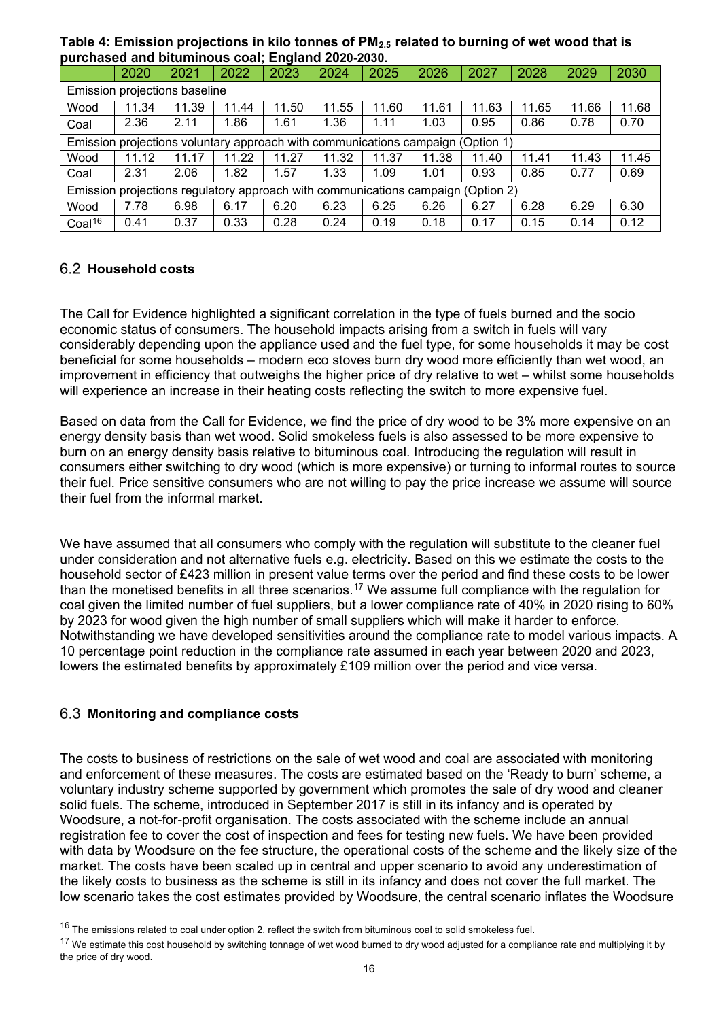**Table 4: Emission projections in kilo tonnes of PM2.5 related to burning of wet wood that is purchased and bituminous coal; England 2020-2030.**

|                                                                                  | 2020                                                                            | 2021  | 2022  | 2023  | 2024  | 2025  | 2026  | 2027  | 2028  | 2029  | 2030  |
|----------------------------------------------------------------------------------|---------------------------------------------------------------------------------|-------|-------|-------|-------|-------|-------|-------|-------|-------|-------|
|                                                                                  | Emission projections baseline                                                   |       |       |       |       |       |       |       |       |       |       |
| Wood                                                                             | 11.34                                                                           | 11.39 | 11.44 | 11.50 | 11.55 | 11.60 | 11.61 | 11.63 | 11.65 | 11.66 | 11.68 |
| Coal                                                                             | 2.36                                                                            | 2.11  | 1.86  | 1.61  | 1.36  | 1.11  | 1.03  | 0.95  | 0.86  | 0.78  | 0.70  |
|                                                                                  | Emission projections voluntary approach with communications campaign (Option 1) |       |       |       |       |       |       |       |       |       |       |
| Wood                                                                             | 11.12                                                                           | 11.17 | 11.22 | 11.27 | 11.32 | 11.37 | 11.38 | 11.40 | 11.41 | 11.43 | 11.45 |
| Coal                                                                             | 2.31                                                                            | 2.06  | 1.82  | 1.57  | 1.33  | 1.09  | 1.01  | 0.93  | 0.85  | 0.77  | 0.69  |
| Emission projections regulatory approach with communications campaign (Option 2) |                                                                                 |       |       |       |       |       |       |       |       |       |       |
| Wood                                                                             | 7.78                                                                            | 6.98  | 6.17  | 6.20  | 6.23  | 6.25  | 6.26  | 6.27  | 6.28  | 6.29  | 6.30  |
| Coal <sup>16</sup>                                                               | 0.41                                                                            | 0.37  | 0.33  | 0.28  | 0.24  | 0.19  | 0.18  | 0.17  | 0.15  | 0.14  | 0.12  |

### **Household costs**

The Call for Evidence highlighted a significant correlation in the type of fuels burned and the socio economic status of consumers. The household impacts arising from a switch in fuels will vary considerably depending upon the appliance used and the fuel type, for some households it may be cost beneficial for some households – modern eco stoves burn dry wood more efficiently than wet wood, an improvement in efficiency that outweighs the higher price of dry relative to wet – whilst some households will experience an increase in their heating costs reflecting the switch to more expensive fuel.

Based on data from the Call for Evidence, we find the price of dry wood to be 3% more expensive on an energy density basis than wet wood. Solid smokeless fuels is also assessed to be more expensive to burn on an energy density basis relative to bituminous coal. Introducing the regulation will result in consumers either switching to dry wood (which is more expensive) or turning to informal routes to source their fuel. Price sensitive consumers who are not willing to pay the price increase we assume will source their fuel from the informal market.

We have assumed that all consumers who comply with the regulation will substitute to the cleaner fuel under consideration and not alternative fuels e.g. electricity. Based on this we estimate the costs to the household sector of £423 million in present value terms over the period and find these costs to be lower than the monetised benefits in all three scenarios.<sup>[17](#page-15-1)</sup> We assume full compliance with the regulation for coal given the limited number of fuel suppliers, but a lower compliance rate of 40% in 2020 rising to 60% by 2023 for wood given the high number of small suppliers which will make it harder to enforce. Notwithstanding we have developed sensitivities around the compliance rate to model various impacts. A 10 percentage point reduction in the compliance rate assumed in each year between 2020 and 2023, lowers the estimated benefits by approximately £109 million over the period and vice versa.

#### **Monitoring and compliance costs**

-

The costs to business of restrictions on the sale of wet wood and coal are associated with monitoring and enforcement of these measures. The costs are estimated based on the 'Ready to burn' scheme, a voluntary industry scheme supported by government which promotes the sale of dry wood and cleaner solid fuels. The scheme, introduced in September 2017 is still in its infancy and is operated by Woodsure, a not-for-profit organisation. The costs associated with the scheme include an annual registration fee to cover the cost of inspection and fees for testing new fuels. We have been provided with data by Woodsure on the fee structure, the operational costs of the scheme and the likely size of the market. The costs have been scaled up in central and upper scenario to avoid any underestimation of the likely costs to business as the scheme is still in its infancy and does not cover the full market. The low scenario takes the cost estimates provided by Woodsure, the central scenario inflates the Woodsure

<span id="page-15-0"></span><sup>&</sup>lt;sup>16</sup> The emissions related to coal under option 2, reflect the switch from bituminous coal to solid smokeless fuel.

<span id="page-15-1"></span><sup>&</sup>lt;sup>17</sup> We estimate this cost household by switching tonnage of wet wood burned to dry wood adjusted for a compliance rate and multiplying it by the price of dry wood.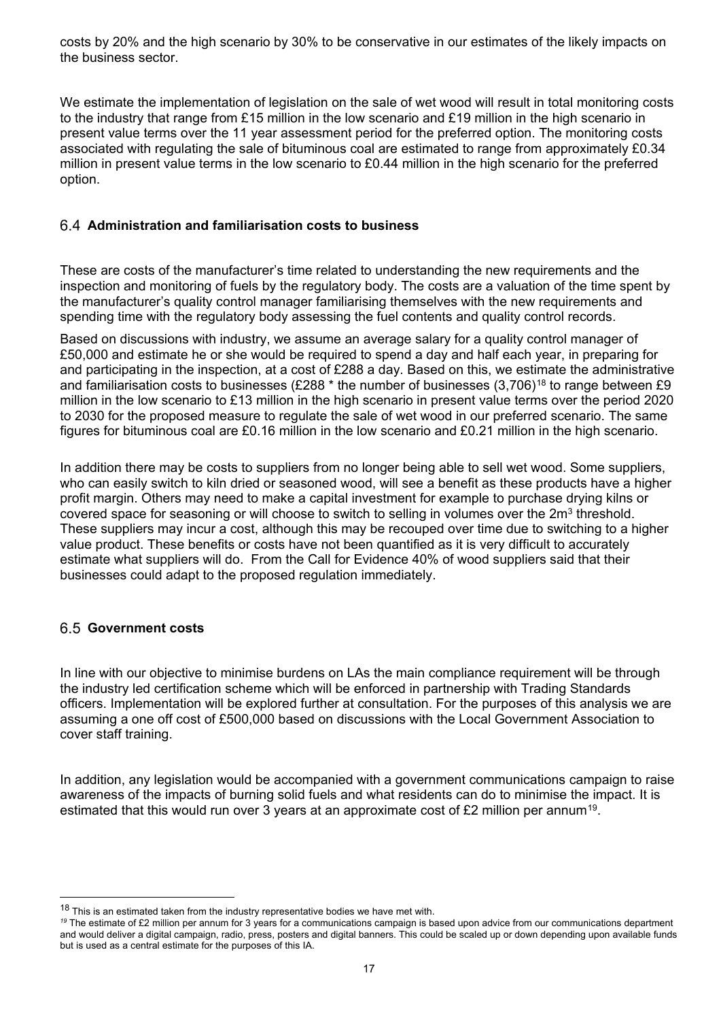costs by 20% and the high scenario by 30% to be conservative in our estimates of the likely impacts on the business sector.

We estimate the implementation of legislation on the sale of wet wood will result in total monitoring costs to the industry that range from £15 million in the low scenario and £19 million in the high scenario in present value terms over the 11 year assessment period for the preferred option. The monitoring costs associated with regulating the sale of bituminous coal are estimated to range from approximately £0.34 million in present value terms in the low scenario to £0.44 million in the high scenario for the preferred option.

### **Administration and familiarisation costs to business**

These are costs of the manufacturer's time related to understanding the new requirements and the inspection and monitoring of fuels by the regulatory body. The costs are a valuation of the time spent by the manufacturer's quality control manager familiarising themselves with the new requirements and spending time with the regulatory body assessing the fuel contents and quality control records.

Based on discussions with industry, we assume an average salary for a quality control manager of £50,000 and estimate he or she would be required to spend a day and half each year, in preparing for and participating in the inspection, at a cost of £288 a day. Based on this, we estimate the administrative and familiarisation costs to businesses (£288  $*$  the number of businesses (3,706)<sup>[18](#page-16-0)</sup> to range between £9 million in the low scenario to £13 million in the high scenario in present value terms over the period 2020 to 2030 for the proposed measure to regulate the sale of wet wood in our preferred scenario. The same figures for bituminous coal are £0.16 million in the low scenario and £0.21 million in the high scenario.

In addition there may be costs to suppliers from no longer being able to sell wet wood. Some suppliers, who can easily switch to kiln dried or seasoned wood, will see a benefit as these products have a higher profit margin. Others may need to make a capital investment for example to purchase drying kilns or covered space for seasoning or will choose to switch to selling in volumes over the 2m<sup>3</sup> threshold. These suppliers may incur a cost, although this may be recouped over time due to switching to a higher value product. These benefits or costs have not been quantified as it is very difficult to accurately estimate what suppliers will do. From the Call for Evidence 40% of wood suppliers said that their businesses could adapt to the proposed regulation immediately.

### **Government costs**

j

In line with our objective to minimise burdens on LAs the main compliance requirement will be through the industry led certification scheme which will be enforced in partnership with Trading Standards officers. Implementation will be explored further at consultation. For the purposes of this analysis we are assuming a one off cost of £500,000 based on discussions with the Local Government Association to cover staff training.

In addition, any legislation would be accompanied with a government communications campaign to raise awareness of the impacts of burning solid fuels and what residents can do to minimise the impact. It is estimated that this would run over 3 years at an approximate cost of £2 million per annum<sup>[19](#page-16-1)</sup>.

<span id="page-16-0"></span><sup>&</sup>lt;sup>18</sup> This is an estimated taken from the industry representative bodies we have met with.

<span id="page-16-1"></span>*<sup>19</sup>* The estimate of £2 million per annum for 3 years for a communications campaign is based upon advice from our communications department and would deliver a digital campaign, radio, press, posters and digital banners. This could be scaled up or down depending upon available funds but is used as a central estimate for the purposes of this IA.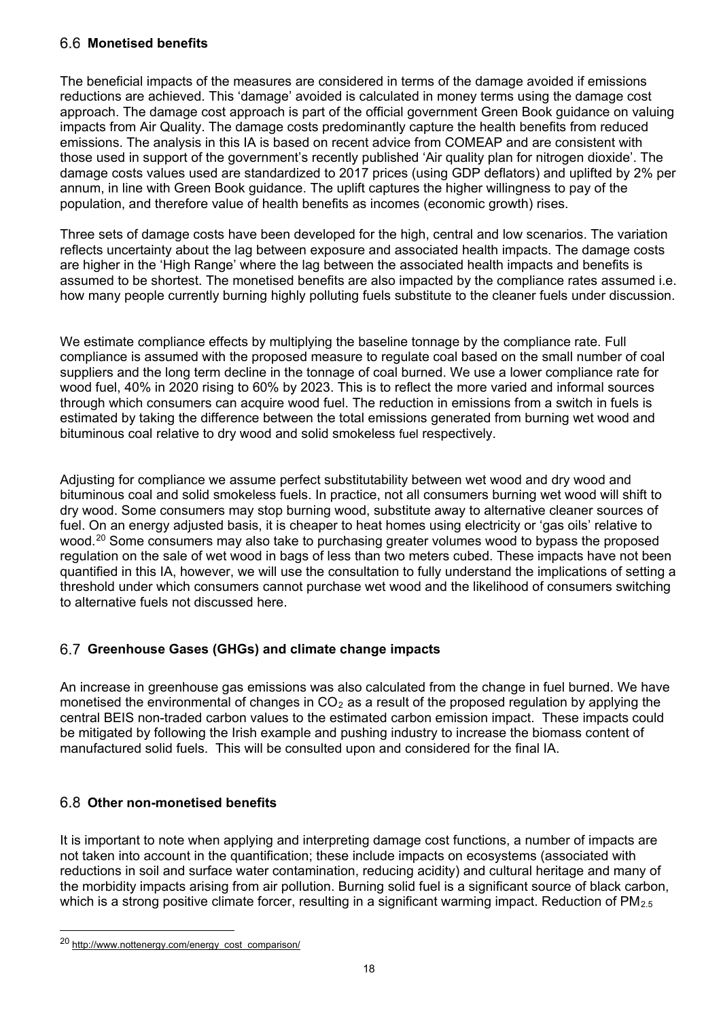### **Monetised benefits**

The beneficial impacts of the measures are considered in terms of the damage avoided if emissions reductions are achieved. This 'damage' avoided is calculated in money terms using the damage cost approach. The damage cost approach is part of the official government Green Book guidance on valuing impacts from Air Quality. The damage costs predominantly capture the health benefits from reduced emissions. The analysis in this IA is based on recent advice from COMEAP and are consistent with those used in support of the government's recently published 'Air quality plan for nitrogen dioxide'. The damage costs values used are standardized to 2017 prices (using GDP deflators) and uplifted by 2% per annum, in line with Green Book guidance. The uplift captures the higher willingness to pay of the population, and therefore value of health benefits as incomes (economic growth) rises.

Three sets of damage costs have been developed for the high, central and low scenarios. The variation reflects uncertainty about the lag between exposure and associated health impacts. The damage costs are higher in the 'High Range' where the lag between the associated health impacts and benefits is assumed to be shortest. The monetised benefits are also impacted by the compliance rates assumed i.e. how many people currently burning highly polluting fuels substitute to the cleaner fuels under discussion.

We estimate compliance effects by multiplying the baseline tonnage by the compliance rate. Full compliance is assumed with the proposed measure to regulate coal based on the small number of coal suppliers and the long term decline in the tonnage of coal burned. We use a lower compliance rate for wood fuel, 40% in 2020 rising to 60% by 2023. This is to reflect the more varied and informal sources through which consumers can acquire wood fuel. The reduction in emissions from a switch in fuels is estimated by taking the difference between the total emissions generated from burning wet wood and bituminous coal relative to dry wood and solid smokeless fuel respectively.

Adjusting for compliance we assume perfect substitutability between wet wood and dry wood and bituminous coal and solid smokeless fuels. In practice, not all consumers burning wet wood will shift to dry wood. Some consumers may stop burning wood, substitute away to alternative cleaner sources of fuel. On an energy adjusted basis, it is cheaper to heat homes using electricity or 'gas oils' relative to wood.<sup>[20](#page-17-0)</sup> Some consumers may also take to purchasing greater volumes wood to bypass the proposed regulation on the sale of wet wood in bags of less than two meters cubed. These impacts have not been quantified in this IA, however, we will use the consultation to fully understand the implications of setting a threshold under which consumers cannot purchase wet wood and the likelihood of consumers switching to alternative fuels not discussed here.

# **Greenhouse Gases (GHGs) and climate change impacts**

An increase in greenhouse gas emissions was also calculated from the change in fuel burned. We have monetised the environmental of changes in  $CO<sub>2</sub>$  as a result of the proposed regulation by applying the central BEIS non-traded carbon values to the estimated carbon emission impact. These impacts could be mitigated by following the Irish example and pushing industry to increase the biomass content of manufactured solid fuels. This will be consulted upon and considered for the final IA.

### **Other non-monetised benefits**

It is important to note when applying and interpreting damage cost functions, a number of impacts are not taken into account in the quantification; these include impacts on ecosystems (associated with reductions in soil and surface water contamination, reducing acidity) and cultural heritage and many of the morbidity impacts arising from air pollution. Burning solid fuel is a significant source of black carbon, which is a strong positive climate forcer, resulting in a significant warming impact. Reduction of  $PM_{2.5}$ 

-

<span id="page-17-0"></span><sup>20</sup> [http://www.nottenergy.com/energy\\_cost\\_comparison/](http://www.nottenergy.com/energy_cost_comparison/)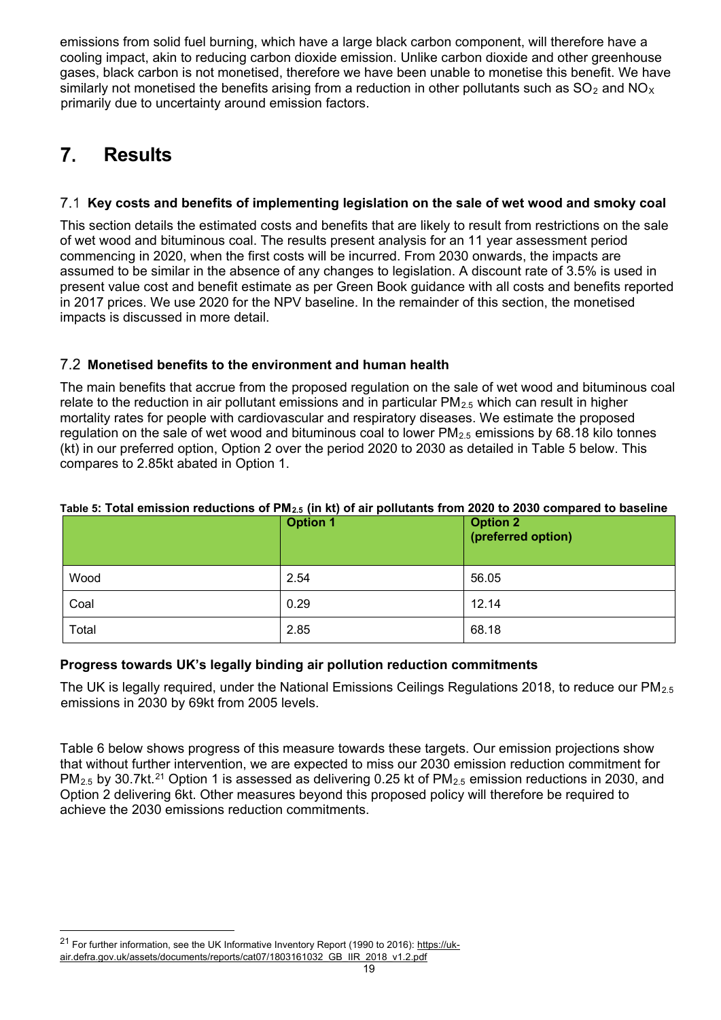emissions from solid fuel burning, which have a large black carbon component, will therefore have a cooling impact, akin to reducing carbon dioxide emission. Unlike carbon dioxide and other greenhouse gases, black carbon is not monetised, therefore we have been unable to monetise this benefit. We have similarly not monetised the benefits arising from a reduction in other pollutants such as  $SO_2$  and  $NO<sub>X</sub>$ primarily due to uncertainty around emission factors.

#### $\overline{7}$ . **Results**

# **Key costs and benefits of implementing legislation on the sale of wet wood and smoky coal**

This section details the estimated costs and benefits that are likely to result from restrictions on the sale of wet wood and bituminous coal. The results present analysis for an 11 year assessment period commencing in 2020, when the first costs will be incurred. From 2030 onwards, the impacts are assumed to be similar in the absence of any changes to legislation. A discount rate of 3.5% is used in present value cost and benefit estimate as per Green Book guidance with all costs and benefits reported in 2017 prices. We use 2020 for the NPV baseline. In the remainder of this section, the monetised impacts is discussed in more detail.

## **Monetised benefits to the environment and human health**

The main benefits that accrue from the proposed regulation on the sale of wet wood and bituminous coal relate to the reduction in air pollutant emissions and in particular  $PM_{2.5}$  which can result in higher mortality rates for people with cardiovascular and respiratory diseases. We estimate the proposed regulation on the sale of wet wood and bituminous coal to lower  $PM_{2.5}$  emissions by 68.18 kilo tonnes (kt) in our preferred option, Option 2 over the period 2020 to 2030 as detailed in Table 5 below. This compares to 2.85kt abated in Option 1.

| Table 5. Total chillssion requestions of Finz. (iii Ky of all politicaties from 2020 to 2000 compared to baseme | <b>Option 1</b> | <b>Option 2</b><br>(preferred option) |
|-----------------------------------------------------------------------------------------------------------------|-----------------|---------------------------------------|
| Wood                                                                                                            | 2.54            | 56.05                                 |
| Coal                                                                                                            | 0.29            | 12.14                                 |
| Total                                                                                                           | 2.85            | 68.18                                 |

### **Table 5: Total emission reductions of PM2.5 (in kt) of air pollutants from 2020 to 2030 compared to baseline**

### **Progress towards UK's legally binding air pollution reduction commitments**

The UK is legally required, under the National Emissions Ceilings Regulations 2018, to reduce our PM2.5 [emissions in 2030 by 69kt from 2005 levels.](#page-18-0)

<span id="page-18-0"></span>[Table 6](#page-18-0) below shows progress of this measure towards these targets. Our emission projections show that without further intervention, we are expected to miss our 2030 emission reduction commitment for  $PM_{2.5}$  by 30.7kt.<sup>[21](#page-18-1)</sup> Option 1 is assessed as delivering 0.25 kt of PM<sub>2.5</sub> emission reductions in 2030, and Option 2 delivering 6kt. Other measures beyond this proposed policy will therefore be required to achieve the 2030 emissions reduction commitments.

-

<span id="page-18-1"></span><sup>&</sup>lt;sup>21</sup> For further information, see the UK Informative Inventory Report (1990 to 2016)[: https://uk](https://uk-air.defra.gov.uk/assets/documents/reports/cat07/1803161032_GB_IIR_2018_v1.2.pdf)[air.defra.gov.uk/assets/documents/reports/cat07/1803161032\\_GB\\_IIR\\_2018\\_v1.2.pdf](https://uk-air.defra.gov.uk/assets/documents/reports/cat07/1803161032_GB_IIR_2018_v1.2.pdf)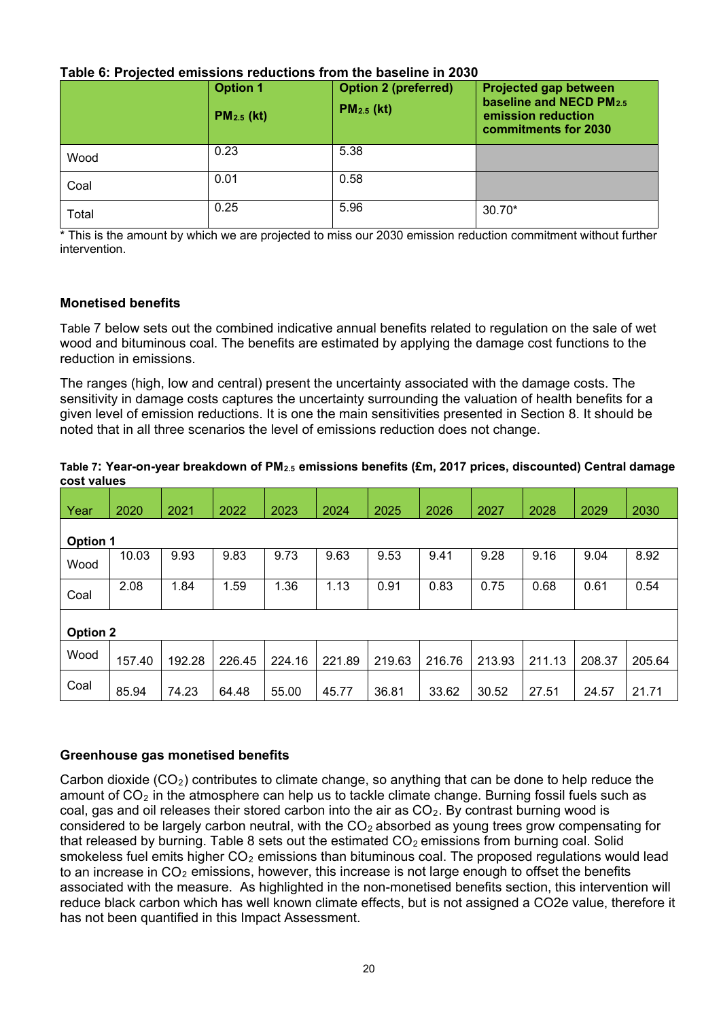|--|

|       | <b>Option 1</b><br>$PM2.5$ (kt) | <b>Option 2 (preferred)</b><br>$PM2.5$ (kt) | Projected gap between<br>baseline and NECD PM2.5<br>emission reduction<br>commitments for 2030 |
|-------|---------------------------------|---------------------------------------------|------------------------------------------------------------------------------------------------|
| Wood  | 0.23                            | 5.38                                        |                                                                                                |
| Coal  | 0.01                            | 0.58                                        |                                                                                                |
| Total | 0.25                            | 5.96                                        | $30.70*$                                                                                       |

\* This is the amount by which we are projected to miss our 2030 emission reduction commitment without further intervention.

### **Monetised benefit[s](#page-19-0)**

[Table 7](#page-19-0) below sets out the combined indicative annual benefits related to regulation on the sale of wet wood and bituminous coal. The benefits are estimated by applying the damage cost functions to the reduction in emissions.

The ranges (high, low and central) present the uncertainty associated with the damage costs. The sensitivity in damage costs captures the uncertainty surrounding the valuation of health benefits for a given level of emission reductions. It is one the main sensitivities presented in Section [8.](#page-20-0) It should be noted that in all three scenarios the level of emissions reduction does not change.

#### <span id="page-19-0"></span>**Table 7: Year-on-year breakdown of PM2.5 emissions benefits (£m, 2017 prices, discounted) Central damage cost values**

| Year            | 2020            | 2021   | 2022   | 2023   | 2024   | 2025   | 2026   | 2027   | 2028   | 2029   | 2030   |
|-----------------|-----------------|--------|--------|--------|--------|--------|--------|--------|--------|--------|--------|
|                 | <b>Option 1</b> |        |        |        |        |        |        |        |        |        |        |
| Wood            | 10.03           | 9.93   | 9.83   | 9.73   | 9.63   | 9.53   | 9.41   | 9.28   | 9.16   | 9.04   | 8.92   |
| Coal            | 2.08            | 1.84   | 1.59   | 1.36   | 1.13   | 0.91   | 0.83   | 0.75   | 0.68   | 0.61   | 0.54   |
| <b>Option 2</b> |                 |        |        |        |        |        |        |        |        |        |        |
| Wood            | 157.40          | 192.28 | 226.45 | 224.16 | 221.89 | 219.63 | 216.76 | 213.93 | 211.13 | 208.37 | 205.64 |
| Coal            | 85.94           | 74.23  | 64.48  | 55.00  | 45.77  | 36.81  | 33.62  | 30.52  | 27.51  | 24.57  | 21.71  |

### **Greenhouse gas monetised benefits**

Carbon dioxide ( $CO<sub>2</sub>$ ) contributes to climate change, so anything that can be done to help reduce the amount of  $CO<sub>2</sub>$  in the atmosphere can help us to tackle climate change. Burning fossil fuels such as coal, gas and oil releases their stored carbon into the air as  $CO<sub>2</sub>$ . By contrast burning wood is considered to be largely carbon neutral, with the  $CO<sub>2</sub>$  absorbed as young trees grow compensating for that released by burning. Table 8 sets out the estimated  $CO<sub>2</sub>$  emissions from burning coal. Solid smokeless fuel emits higher  $CO<sub>2</sub>$  emissions than bituminous coal. The proposed regulations would lead to an increase in  $CO<sub>2</sub>$  emissions, however, this increase is not large enough to offset the benefits associated with the measure. As highlighted in the non-monetised benefits section, this intervention will reduce black carbon which has well known climate effects, but is not assigned a CO2e value, therefore it has not been quantified in this Impact Assessment.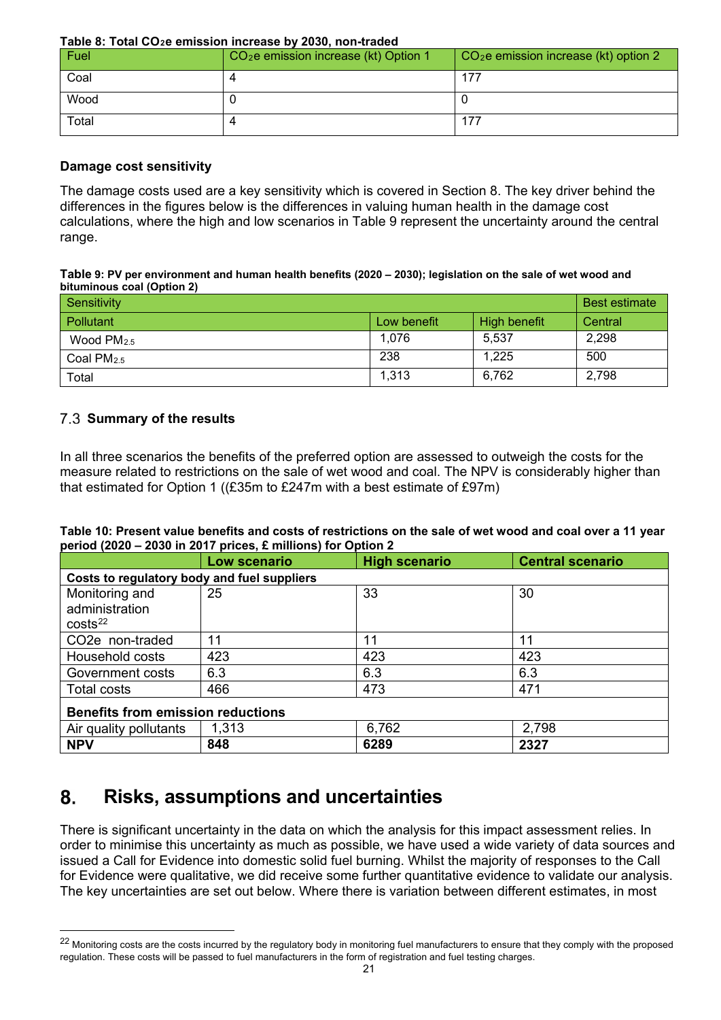|  |  |  | Table 8: Total CO <sub>2</sub> e emission increase by 2030, non-traded |
|--|--|--|------------------------------------------------------------------------|
|  |  |  |                                                                        |

| Fuel  | CO <sub>2</sub> e emission increase (kt) Option 1 | $CO2e$ emission increase (kt) option 2 |
|-------|---------------------------------------------------|----------------------------------------|
| Coal  |                                                   | 177                                    |
| Wood  |                                                   |                                        |
| Total |                                                   | 177                                    |

#### **Damage cost sensitivity**

The damage costs used are a key sensitivity which is covered in Section [8.](#page-20-0) The key driver behind the differences in the figures below is the differences in valuing human health in the damage cost calculations, where the high and low scenarios in Table 9 represent the uncertainty around the central range.

#### **Table 9: PV per environment and human health benefits (2020 – 2030); legislation on the sale of wet wood and bituminous coal (Option 2)**

| Sensitivity  |             |                     | <b>Best estimate</b> |
|--------------|-------------|---------------------|----------------------|
| Pollutant    | Low benefit | <b>High benefit</b> | Central              |
| Wood $PM2.5$ | 1,076       | 5,537               | 2,298                |
| Coal $PM2.5$ | 238         | 1,225               | 500                  |
| Total        | 1,313       | 6,762               | 2,798                |

# **Summary of the results**

-

In all three scenarios the benefits of the preferred option are assessed to outweigh the costs for the measure related to restrictions on the sale of wet wood and coal. The NPV is considerably higher than that estimated for Option 1 ((£35m to £247m with a best estimate of £97m)

#### **Table 10: Present value benefits and costs of restrictions on the sale of wet wood and coal over a 11 year period (2020 – 2030 in 2017 prices, £ millions) for Option 2**

|                                                         | Low scenario                                | <b>High scenario</b> | <b>Central scenario</b> |  |  |  |  |  |
|---------------------------------------------------------|---------------------------------------------|----------------------|-------------------------|--|--|--|--|--|
|                                                         | Costs to regulatory body and fuel suppliers |                      |                         |  |  |  |  |  |
| Monitoring and<br>administration<br>costs <sup>22</sup> | 25                                          | 33                   | 30                      |  |  |  |  |  |
| CO <sub>2</sub> e non-traded                            | 11                                          | 11                   | 11                      |  |  |  |  |  |
| Household costs                                         | 423                                         | 423                  | 423                     |  |  |  |  |  |
| Government costs                                        | 6.3                                         | 6.3                  | 6.3                     |  |  |  |  |  |
| <b>Total costs</b>                                      | 466                                         | 473                  | 471                     |  |  |  |  |  |
| <b>Benefits from emission reductions</b>                |                                             |                      |                         |  |  |  |  |  |
| Air quality pollutants                                  | 1,313                                       | 6,762                | 2,798                   |  |  |  |  |  |
| <b>NPV</b>                                              | 848                                         | 6289                 | 2327                    |  |  |  |  |  |

#### <span id="page-20-0"></span>8. **Risks, assumptions and uncertainties**

There is significant uncertainty in the data on which the analysis for this impact assessment relies. In order to minimise this uncertainty as much as possible, we have used a wide variety of data sources and issued a Call for Evidence into domestic solid fuel burning. Whilst the majority of responses to the Call for Evidence were qualitative, we did receive some further quantitative evidence to validate our analysis. The key uncertainties are set out below. Where there is variation between different estimates, in most

<span id="page-20-1"></span><sup>&</sup>lt;sup>22</sup> Monitoring costs are the costs incurred by the regulatory body in monitoring fuel manufacturers to ensure that they comply with the proposed regulation. These costs will be passed to fuel manufacturers in the form of registration and fuel testing charges.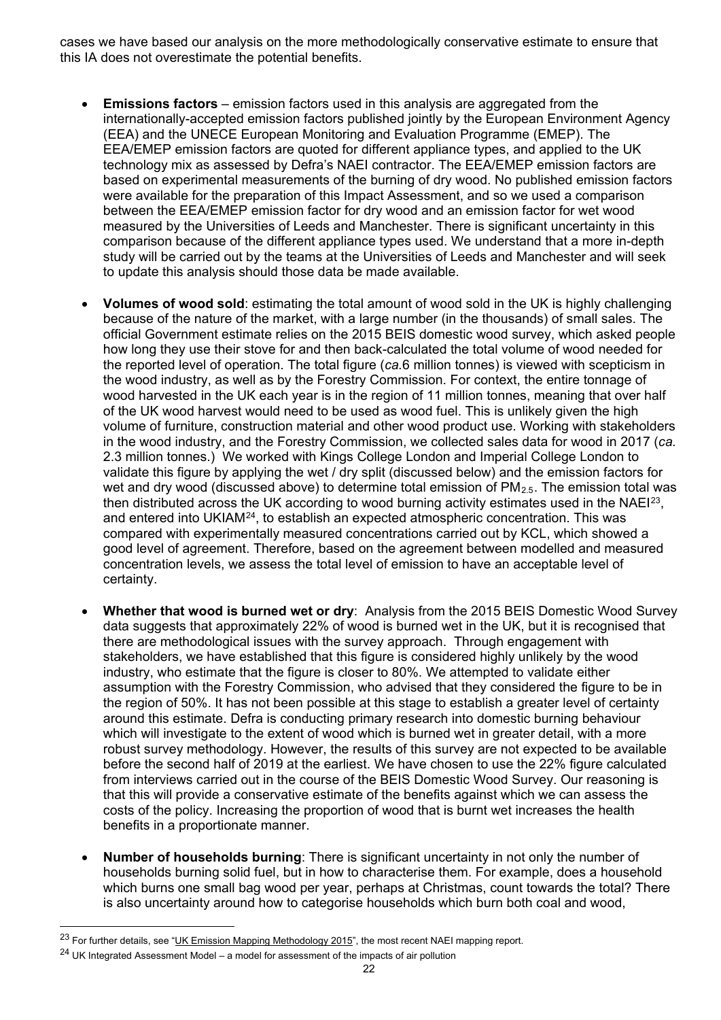cases we have based our analysis on the more methodologically conservative estimate to ensure that this IA does not overestimate the potential benefits.

- **Emissions factors** emission factors used in this analysis are aggregated from the internationally-accepted emission factors published jointly by the European Environment Agency (EEA) and the UNECE European Monitoring and Evaluation Programme (EMEP). The EEA/EMEP emission factors are quoted for different appliance types, and applied to the UK technology mix as assessed by Defra's NAEI contractor. The EEA/EMEP emission factors are based on experimental measurements of the burning of dry wood. No published emission factors were available for the preparation of this Impact Assessment, and so we used a comparison between the EEA/EMEP emission factor for dry wood and an emission factor for wet wood measured by the Universities of Leeds and Manchester. There is significant uncertainty in this comparison because of the different appliance types used. We understand that a more in-depth study will be carried out by the teams at the Universities of Leeds and Manchester and will seek to update this analysis should those data be made available.
- **Volumes of wood sold**: estimating the total amount of wood sold in the UK is highly challenging because of the nature of the market, with a large number (in the thousands) of small sales. The official Government estimate relies on the 2015 BEIS domestic wood survey, which asked people how long they use their stove for and then back-calculated the total volume of wood needed for the reported level of operation. The total figure (*ca.*6 million tonnes) is viewed with scepticism in the wood industry, as well as by the Forestry Commission. For context, the entire tonnage of wood harvested in the UK each year is in the region of 11 million tonnes, meaning that over half of the UK wood harvest would need to be used as wood fuel. This is unlikely given the high volume of furniture, construction material and other wood product use. Working with stakeholders in the wood industry, and the Forestry Commission, we collected sales data for wood in 2017 (*ca.* 2.3 million tonnes.) We worked with Kings College London and Imperial College London to validate this figure by applying the wet / dry split (discussed below) and the emission factors for wet and dry wood (discussed above) to determine total emission of  $PM<sub>2.5</sub>$ . The emission total was then distributed across the UK according to wood burning activity estimates used in the NAEI<sup>23</sup>, and entered into UKIAM[24](#page-21-1), to establish an expected atmospheric concentration. This was compared with experimentally measured concentrations carried out by KCL, which showed a good level of agreement. Therefore, based on the agreement between modelled and measured concentration levels, we assess the total level of emission to have an acceptable level of certainty.
- **Whether that wood is burned wet or dry**: Analysis from the 2015 BEIS Domestic Wood Survey data suggests that approximately 22% of wood is burned wet in the UK, but it is recognised that there are methodological issues with the survey approach. Through engagement with stakeholders, we have established that this figure is considered highly unlikely by the wood industry, who estimate that the figure is closer to 80%. We attempted to validate either assumption with the Forestry Commission, who advised that they considered the figure to be in the region of 50%. It has not been possible at this stage to establish a greater level of certainty around this estimate. Defra is conducting primary research into domestic burning behaviour which will investigate to the extent of wood which is burned wet in greater detail, with a more robust survey methodology. However, the results of this survey are not expected to be available before the second half of 2019 at the earliest. We have chosen to use the 22% figure calculated from interviews carried out in the course of the BEIS Domestic Wood Survey. Our reasoning is that this will provide a conservative estimate of the benefits against which we can assess the costs of the policy. Increasing the proportion of wood that is burnt wet increases the health benefits in a proportionate manner.
- **Number of households burning**: There is significant uncertainty in not only the number of households burning solid fuel, but in how to characterise them. For example, does a household which burns one small bag wood per year, perhaps at Christmas, count towards the total? There is also uncertainty around how to categorise households which burn both coal and wood,

<span id="page-21-0"></span><sup>&</sup>lt;sup>23</sup> For further details, see ["UK Emission Mapping Methodology 2015",](http://uk-air.defra.gov.uk/reports/cat07/1710261436_Methodology_for_NAEI_2017.pdf) the most recent NAEI mapping report.

<span id="page-21-1"></span> $24$  UK Integrated Assessment Model – a model for assessment of the impacts of air pollution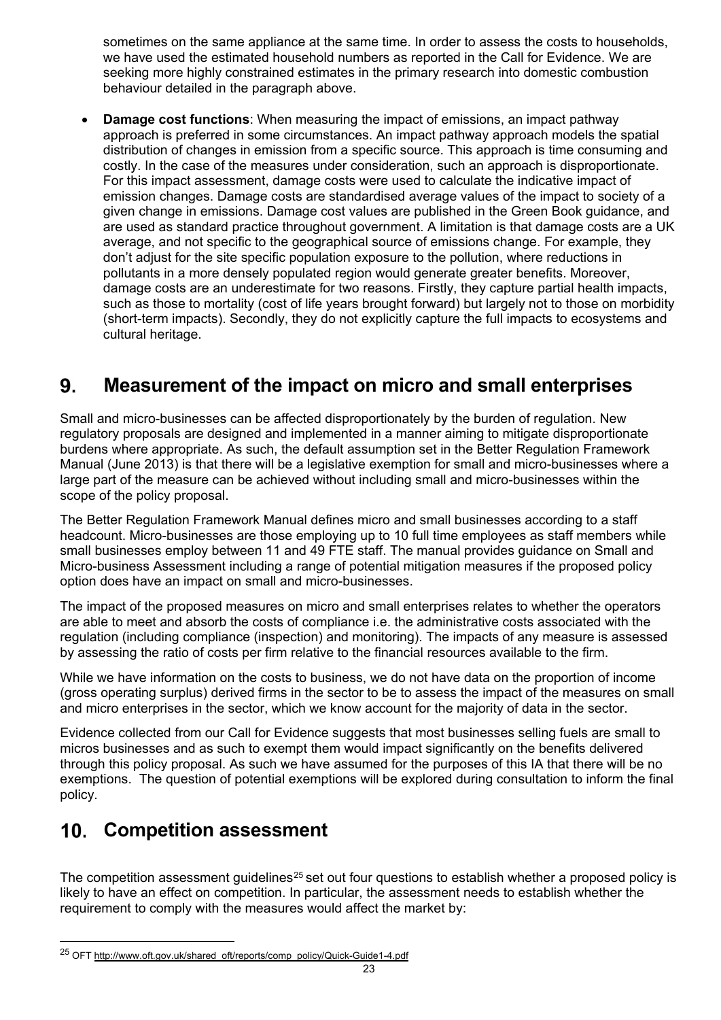sometimes on the same appliance at the same time. In order to assess the costs to households, we have used the estimated household numbers as reported in the Call for Evidence. We are seeking more highly constrained estimates in the primary research into domestic combustion behaviour detailed in the paragraph above.

• **Damage cost functions**: When measuring the impact of emissions, an impact pathway approach is preferred in some circumstances. An impact pathway approach models the spatial distribution of changes in emission from a specific source. This approach is time consuming and costly. In the case of the measures under consideration, such an approach is disproportionate. For this impact assessment, damage costs were used to calculate the indicative impact of emission changes. Damage costs are standardised average values of the impact to society of a given change in emissions. Damage cost values are published in the Green Book guidance, and are used as standard practice throughout government. A limitation is that damage costs are a UK average, and not specific to the geographical source of emissions change. For example, they don't adjust for the site specific population exposure to the pollution, where reductions in pollutants in a more densely populated region would generate greater benefits. Moreover, damage costs are an underestimate for two reasons. Firstly, they capture partial health impacts, such as those to mortality (cost of life years brought forward) but largely not to those on morbidity (short-term impacts). Secondly, they do not explicitly capture the full impacts to ecosystems and cultural heritage.

#### 9. **Measurement of the impact on micro and small enterprises**

Small and micro-businesses can be affected disproportionately by the burden of regulation. New regulatory proposals are designed and implemented in a manner aiming to mitigate disproportionate burdens where appropriate. As such, the default assumption set in the Better Regulation Framework Manual (June 2013) is that there will be a legislative exemption for small and micro-businesses where a large part of the measure can be achieved without including small and micro-businesses within the scope of the policy proposal.

The Better Regulation Framework Manual defines micro and small businesses according to a staff headcount. Micro-businesses are those employing up to 10 full time employees as staff members while small businesses employ between 11 and 49 FTE staff. The manual provides guidance on Small and Micro-business Assessment including a range of potential mitigation measures if the proposed policy option does have an impact on small and micro-businesses.

The impact of the proposed measures on micro and small enterprises relates to whether the operators are able to meet and absorb the costs of compliance i.e. the administrative costs associated with the regulation (including compliance (inspection) and monitoring). The impacts of any measure is assessed by assessing the ratio of costs per firm relative to the financial resources available to the firm.

While we have information on the costs to business, we do not have data on the proportion of income (gross operating surplus) derived firms in the sector to be to assess the impact of the measures on small and micro enterprises in the sector, which we know account for the majority of data in the sector.

Evidence collected from our Call for Evidence suggests that most businesses selling fuels are small to micros businesses and as such to exempt them would impact significantly on the benefits delivered through this policy proposal. As such we have assumed for the purposes of this IA that there will be no exemptions. The question of potential exemptions will be explored during consultation to inform the final policy.

# **Competition assessment**

j

The competition assessment quidelines<sup>[25](#page-22-0)</sup> set out four questions to establish whether a proposed policy is likely to have an effect on competition. In particular, the assessment needs to establish whether the requirement to comply with the measures would affect the market by:

<span id="page-22-0"></span><sup>&</sup>lt;sup>25</sup> OFT http://www.oft.gov.uk/shared\_oft/reports/comp\_policy/Quick-Guide1-4.pdf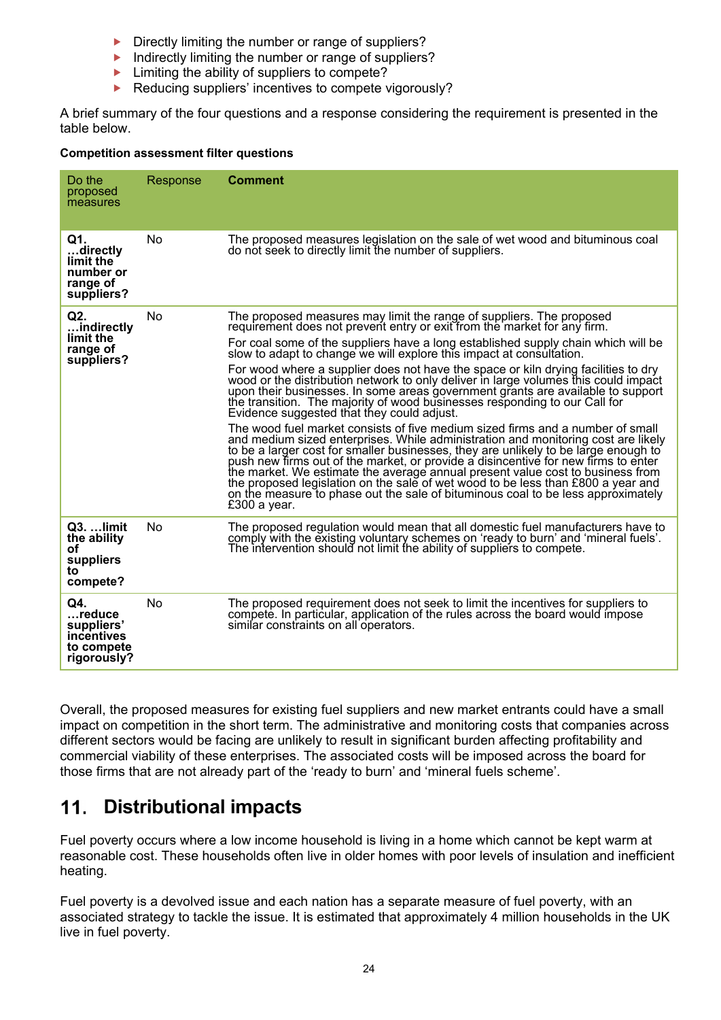- $\triangleright$  Directly limiting the number or range of suppliers?
- Indirectly limiting the number or range of suppliers?
- $\blacktriangleright$  Limiting the ability of suppliers to compete?
- ▶ Reducing suppliers' incentives to compete vigorously?

A brief summary of the four questions and a response considering the requirement is presented in the table below.

#### **Competition assessment filter questions**

| Do the<br>proposed<br>measures                                         | Response | <b>Comment</b>                                                                                                                                                                                                                                                                                                                                                                                                                                                                                                                                                                                                                                                                                                                                                                                                                                                                                                                                                                                                                                                                                                                                                                                                                                                                                                                          |
|------------------------------------------------------------------------|----------|-----------------------------------------------------------------------------------------------------------------------------------------------------------------------------------------------------------------------------------------------------------------------------------------------------------------------------------------------------------------------------------------------------------------------------------------------------------------------------------------------------------------------------------------------------------------------------------------------------------------------------------------------------------------------------------------------------------------------------------------------------------------------------------------------------------------------------------------------------------------------------------------------------------------------------------------------------------------------------------------------------------------------------------------------------------------------------------------------------------------------------------------------------------------------------------------------------------------------------------------------------------------------------------------------------------------------------------------|
| Q1.<br>directly<br>limit the<br>number or<br>range of<br>suppliers?    | No       | The proposed measures legislation on the sale of wet wood and bituminous coal<br>do not seek to directly limit the number of suppliers.                                                                                                                                                                                                                                                                                                                                                                                                                                                                                                                                                                                                                                                                                                                                                                                                                                                                                                                                                                                                                                                                                                                                                                                                 |
| Q2.<br>indirectly<br>limit the<br>range of<br>suppliers?               | No       | The proposed measures may limit the range of suppliers. The proposed<br>requirement does not prevent entry or exit from the market for any firm.<br>For coal some of the suppliers have a long established supply chain which will be<br>slow to adapt to change we will explore this impact at consultation.<br>For wood where a supplier does not have the space or kiln drying facilities to dry<br>wood or the distribution network to only deliver in large volumes this could impact<br>upon their businesses. In some areas government grants are available to support<br>the transition. The majority of wood businesses responding to our Call for<br>Evidence suggested that they could adjust.<br>The wood fuel market consists of five medium sized firms and a number of small<br>and medium sized enterprises. While administration and monitoring cost are likely<br>to be a larger cost for smaller businesses, they are unlikely to be large enough to<br>push new firms out of the market, or provide a disincentive for new firms to enter<br>the market. We estimate the average annual present value cost to business from<br>the proposed legislation on the sale of wet wood to be less than £800 a year and<br>on the measure to phase out the sale of bituminous coal to be less approximately<br>£300 a year. |
| Q3.  limit<br>the ability<br>οf<br>suppliers<br>to<br>compete?         | No       | The proposed regulation would mean that all domestic fuel manufacturers have to<br>comply with the existing voluntary schemes on 'ready to burn' and 'mineral fuels'.<br>The intervention should not limit the ability of suppliers to compete.                                                                                                                                                                                                                                                                                                                                                                                                                                                                                                                                                                                                                                                                                                                                                                                                                                                                                                                                                                                                                                                                                         |
| Q4.<br>reduce<br>suppliers'<br>incentives<br>to compete<br>rigorously? | No       | The proposed requirement does not seek to limit the incentives for suppliers to<br>compete. In particular, application of the rules across the board would impose<br>similar constraints on all operators.                                                                                                                                                                                                                                                                                                                                                                                                                                                                                                                                                                                                                                                                                                                                                                                                                                                                                                                                                                                                                                                                                                                              |

Overall, the proposed measures for existing fuel suppliers and new market entrants could have a small impact on competition in the short term. The administrative and monitoring costs that companies across different sectors would be facing are unlikely to result in significant burden affecting profitability and commercial viability of these enterprises. The associated costs will be imposed across the board for those firms that are not already part of the 'ready to burn' and 'mineral fuels scheme'.

# **Distributional impacts**

Fuel poverty occurs where a low income household is living in a home which cannot be kept warm at reasonable cost. These households often live in older homes with poor levels of insulation and inefficient heating.

Fuel poverty is a devolved issue and each nation has a separate measure of fuel poverty, with an associated strategy to tackle the issue. It is estimated that approximately 4 million households in the UK live in fuel poverty.